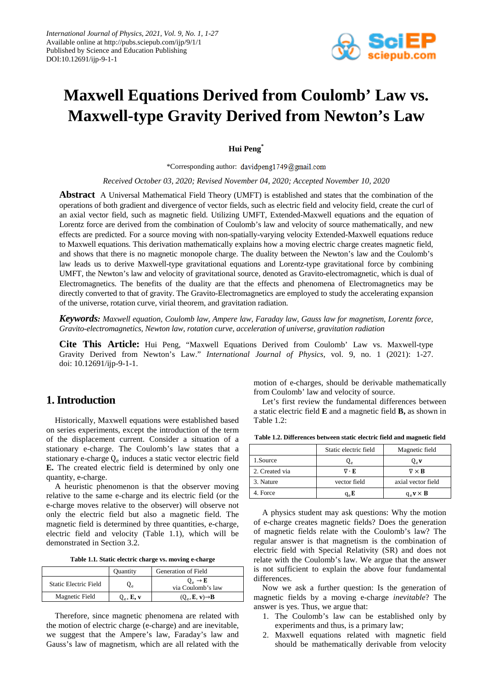

# **Maxwell Equations Derived from Coulomb' Law vs. Maxwell-type Gravity Derived from Newton's Law**

**Hui Peng\***

\*Corresponding author: davidpeng1749@gmail.com

*Received October 03, 2020; Revised November 04, 2020; Accepted November 10, 2020*

**Abstract** A Universal Mathematical Field Theory (UMFT) is established and states that the combination of the operations of both gradient and divergence of vector fields, such as electric field and velocity field, create the curl of an axial vector field, such as magnetic field. Utilizing UMFT, Extended-Maxwell equations and the equation of Lorentz force are derived from the combination of Coulomb's law and velocity of source mathematically, and new effects are predicted. For a source moving with non-spatially-varying velocity Extended-Maxwell equations reduce to Maxwell equations. This derivation mathematically explains how a moving electric charge creates magnetic field, and shows that there is no magnetic monopole charge. The duality between the Newton's law and the Coulomb's law leads us to derive Maxwell-type gravitational equations and Lorentz-type gravitational force by combining UMFT, the Newton's law and velocity of gravitational source, denoted as Gravito-electromagnetic, which is dual of Electromagnetics. The benefits of the duality are that the effects and phenomena of Electromagnetics may be directly converted to that of gravity. The Gravito-Electromagnetics are employed to study the accelerating expansion of the universe, rotation curve, virial theorem, and gravitation radiation.

*Keywords: Maxwell equation, Coulomb law, Ampere law, Faraday law, Gauss law for magnetism, Lorentz force, Gravito-electromagnetics, Newton law, rotation curve, acceleration of universe, gravitation radiation*

**Cite This Article:** Hui Peng, "Maxwell Equations Derived from Coulomb' Law vs. Maxwell-type Gravity Derived from Newton's Law." *International Journal of Physics*, vol. 9, no. 1 (2021): 1-27. doi: 10.12691/ijp-9-1-1.

# **1. Introduction**

Historically, Maxwell equations were established based on series experiments, except the introduction of the term of the displacement current. Consider a situation of a stationary e-charge. The Coulomb's law states that a stationary e-charge  $Q_e$  induces a static vector electric field **E.** The created electric field is determined by only one quantity, e-charge.

A heuristic phenomenon is that the observer moving relative to the same e-charge and its electric field (or the e-charge moves relative to the observer) will observe not only the electric field but also a magnetic field. The magnetic field is determined by three quantities, e-charge, electric field and velocity (Table 1.1), which will be demonstrated in Section 3.2.

| Table 1.1. Static electric charge vs. moving e-charge |  |  |  |  |
|-------------------------------------------------------|--|--|--|--|
|-------------------------------------------------------|--|--|--|--|

|                       | <b>Ouantity</b>   | Generation of Field                            |
|-----------------------|-------------------|------------------------------------------------|
| Static Electric Field |                   | $0_{\circ} \rightarrow E$<br>via Coulomb's law |
| Magnetic Field        | $Q_{\rho}$ , E, v | $(Q_e, E, v) \rightarrow B$                    |

Therefore, since magnetic phenomena are related with the motion of electric charge (e-charge) and are inevitable, we suggest that the Ampere's law, Faraday's law and Gauss's law of magnetism, which are all related with the

motion of e-charges, should be derivable mathematically from Coulomb' law and velocity of source.

Let's first review the fundamental differences between a static electric field **E** and a magnetic field **B,** as shown in Table 1.2:

| Table 1.2. Differences between static electric field and magnetic field |  |  |  |  |  |  |  |
|-------------------------------------------------------------------------|--|--|--|--|--|--|--|
|-------------------------------------------------------------------------|--|--|--|--|--|--|--|

|                | Static electric field  | Magnetic field                         |
|----------------|------------------------|----------------------------------------|
| 1.Source       | ہے                     | Q. v                                   |
| 2. Created via | $\nabla \cdot {\bf E}$ | $\nabla \times \mathbf{B}$             |
| 3. Nature      | vector field           | axial vector field                     |
| 4. Force       | $q_e E$                | $q_{\circ}$ <b>v</b> $\times$ <b>B</b> |

A physics student may ask questions: Why the motion of e-charge creates magnetic fields? Does the generation of magnetic fields relate with the Coulomb's law? The regular answer is that magnetism is the combination of electric field with Special Relativity (SR) and does not relate with the Coulomb's law. We argue that the answer is not sufficient to explain the above four fundamental differences.

Now we ask a further question: Is the generation of magnetic fields by a moving e-charge *inevitable*? The answer is yes. Thus, we argue that:

- 1. The Coulomb's law can be established only by experiments and thus, is a primary law;
- 2. Maxwell equations related with magnetic field should be mathematically derivable from velocity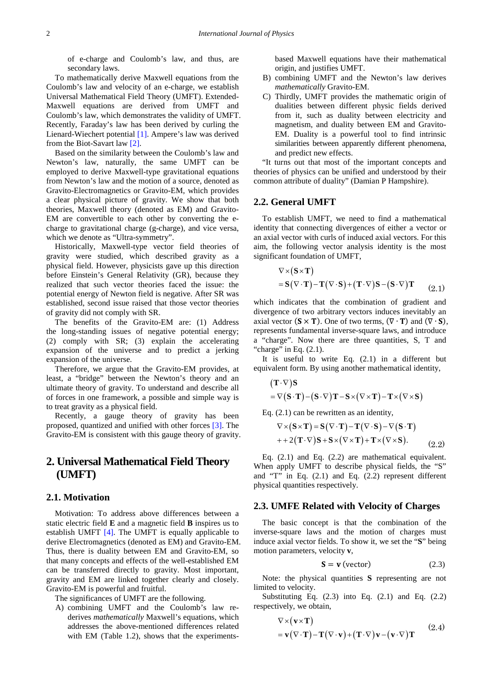of e-charge and Coulomb's law, and thus, are secondary laws.

To mathematically derive Maxwell equations from the Coulomb's law and velocity of an e-charge, we establish Universal Mathematical Field Theory (UMFT). Extended-Maxwell equations are derived from UMFT and Coulomb's law, which demonstrates the validity of UMFT. Recently, Faraday's law has been derived by curling the Lienard-Wiechert potential [\[1\].](#page-26-0) Ampere's law was derived from the Biot-Savart law [\[2\].](#page-26-1)

Based on the similarity between the Coulomb's law and Newton's law, naturally, the same UMFT can be employed to derive Maxwell-type gravitational equations from Newton's law and the motion of a source, denoted as Gravito-Electromagnetics or Gravito-EM, which provides a clear physical picture of gravity. We show that both theories, Maxwell theory (denoted as EM) and Gravito-EM are convertible to each other by converting the echarge to gravitational charge (g-charge), and vice versa, which we denote as "Ultra-symmetry".

Historically, Maxwell-type vector field theories of gravity were studied, which described gravity as a physical field. However, physicists gave up this direction before Einstein's General Relativity (GR), because they realized that such vector theories faced the issue: the potential energy of Newton field is negative. After SR was established, second issue raised that those vector theories of gravity did not comply with SR.

The benefits of the Gravito-EM are: (1) Address the long-standing issues of negative potential energy; (2) comply with SR; (3) explain the accelerating expansion of the universe and to predict a jerking expansion of the universe.

Therefore, we argue that the Gravito-EM provides, at least, a "bridge" between the Newton's theory and an ultimate theory of gravity. To understand and describe all of forces in one framework, a possible and simple way is to treat gravity as a physical field.

Recently, a gauge theory of gravity has been proposed, quantized and unified with other forces [\[3\].](#page-26-2) The Gravito-EM is consistent with this gauge theory of gravity.

# **2. Universal Mathematical Field Theory (UMFT)**

### **2.1. Motivation**

Motivation: To address above differences between a static electric field **E** and a magnetic field **B** inspires us to establish UMFT [\[4\].](#page-26-3) The UMFT is equally applicable to derive Electromagnetics (denoted as EM) and Gravito-EM. Thus, there is duality between EM and Gravito-EM, so that many concepts and effects of the well-established EM can be transferred directly to gravity. Most important, gravity and EM are linked together clearly and closely. Gravito-EM is powerful and fruitful.

The significances of UMFT are the following.

A) combining UMFT and the Coulomb's law rederives *mathematically* Maxwell's equations, which addresses the above-mentioned differences related with EM (Table 1.2), shows that the experimentsbased Maxwell equations have their mathematical origin, and justifies UMFT.

- B) combining UMFT and the Newton's law derives *mathematically* Gravito-EM.
- C) Thirdly, UMFT provides the mathematic origin of dualities between different physic fields derived from it, such as duality between electricity and magnetism, and duality between EM and Gravito-EM. Duality is a powerful tool to find intrinsic similarities between apparently different phenomena, and predict new effects.

"It turns out that most of the important concepts and theories of physics can be unified and understood by their common attribute of duality" (Damian P Hampshire).

### **2.2. General UMFT**

To establish UMFT, we need to find a mathematical identity that connecting divergences of either a vector or an axial vector with curls of induced axial vectors. For this aim, the following vector analysis identity is the most significant foundation of UMFT,

$$
\nabla \times (\mathbf{S} \times \mathbf{T})
$$
  
=  $\mathbf{S}(\nabla \cdot \mathbf{T}) - \mathbf{T}(\nabla \cdot \mathbf{S}) + (\mathbf{T} \cdot \nabla)\mathbf{S} - (\mathbf{S} \cdot \nabla)\mathbf{T}$  (2.1)

which indicates that the combination of gradient and divergence of two arbitrary vectors induces inevitably an axial vector  $(S \times T)$ . One of two terms,  $(\nabla \cdot T)$  and  $(\nabla \cdot S)$ , represents fundamental inverse-square laws, and introduce a "charge". Now there are three quantities, S, T and "charge" in Eq.  $(2.1)$ .

It is useful to write Eq.  $(2.1)$  in a different but equivalent form. By using another mathematical identity,

$$
\begin{aligned} &\left(T\cdot\nabla\right)S \\ &=\nabla\big(S\cdot T\big)-\big(S\cdot\nabla\big)T-S\times\big(\nabla\times T\big)-T\times\big(\nabla\times S\big) \end{aligned}
$$

Eq. (2.1) can be rewritten as an identity,

$$
\nabla \times (\mathbf{S} \times \mathbf{T}) = \mathbf{S} (\nabla \cdot \mathbf{T}) - \mathbf{T} (\nabla \cdot \mathbf{S}) - \nabla (\mathbf{S} \cdot \mathbf{T})
$$
  
+ + 2(\mathbf{T} \cdot \nabla) \mathbf{S} + \mathbf{S} \times (\nabla \times \mathbf{T}) + \mathbf{T} \times (\nabla \times \mathbf{S}). (2.2)

Eq. (2.1) and Eq. (2.2) are mathematical equivalent. When apply UMFT to describe physical fields, the "S" and "T" in Eq. (2.1) and Eq. (2.2) represent different physical quantities respectively.

### **2.3. UMFE Related with Velocity of Charges**

The basic concept is that the combination of the inverse-square laws and the motion of charges must induce axial vector fields. To show it, we set the "**S**" being motion parameters, velocity **v**,

$$
S = v \text{ (vector)} \tag{2.3}
$$

Note: the physical quantities **S** representing are not limited to velocity.

Substituting Eq.  $(2.3)$  into Eq.  $(2.1)$  and Eq.  $(2.2)$ respectively, we obtain,

$$
\nabla \times (\mathbf{v} \times \mathbf{T})
$$
  
=  $\mathbf{v}(\nabla \cdot \mathbf{T}) - \mathbf{T}(\nabla \cdot \mathbf{v}) + (\mathbf{T} \cdot \nabla) \mathbf{v} - (\mathbf{v} \cdot \nabla) \mathbf{T}$  (2.4)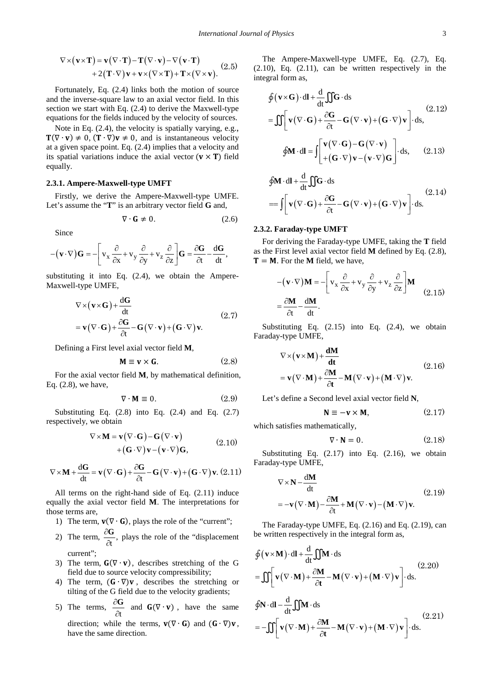$$
\nabla \times (\mathbf{v} \times \mathbf{T}) = \mathbf{v} (\nabla \cdot \mathbf{T}) - \mathbf{T} (\nabla \cdot \mathbf{v}) - \nabla (\mathbf{v} \cdot \mathbf{T}) + 2(\mathbf{T} \cdot \nabla) \mathbf{v} + \mathbf{v} \times (\nabla \times \mathbf{T}) + \mathbf{T} \times (\nabla \times \mathbf{v}).
$$
 (2.5)

Fortunately, Eq. (2.4) links both the motion of source and the inverse-square law to an axial vector field. In this section we start with Eq. (2.4) to derive the Maxwell-type equations for the fields induced by the velocity of sources.

Note in Eq. (2.4), the velocity is spatially varying, e.g.,  $T(\nabla \cdot \mathbf{v}) \neq 0$ ,  $(T \cdot \nabla)\mathbf{v} \neq 0$ , and is instantaneous velocity at a given space point. Eq. (2.4) implies that a velocity and its spatial variations induce the axial vector  $(v \times T)$  field equally.

### **2.3.1. Ampere-Maxwell-type UMFT**

Firstly, we derive the Ampere-Maxwell-type UMFE. Let's assume the "**T**" is an arbitrary vector field **G** and,

$$
\nabla \cdot \mathbf{G} \neq 0. \tag{2.6}
$$

Since

$$
-(\mathbf{v}\cdot\nabla)\mathbf{G}=-\left[v_x\frac{\partial}{\partial x}+v_y\frac{\partial}{\partial y}+v_z\frac{\partial}{\partial z}\right]\mathbf{G}=\frac{\partial\mathbf{G}}{\partial t}-\frac{d\mathbf{G}}{dt},
$$

substituting it into Eq. (2.4), we obtain the Ampere-Maxwell-type UMFE,

$$
\nabla \times (\mathbf{v} \times \mathbf{G}) + \frac{d\mathbf{G}}{dt}
$$
  
=  $\mathbf{v} (\nabla \cdot \mathbf{G}) + \frac{\partial \mathbf{G}}{\partial t} - \mathbf{G} (\nabla \cdot \mathbf{v}) + (\mathbf{G} \cdot \nabla) \mathbf{v}.$  (2.7)

Defining a First level axial vector field **M**,

$$
\mathbf{M} \equiv \mathbf{v} \times \mathbf{G}.\tag{2.8}
$$

For the axial vector field **M**, by mathematical definition, Eq. (2.8), we have,

$$
\nabla \cdot \mathbf{M} \equiv 0. \tag{2.9}
$$

Substituting Eq.  $(2.8)$  into Eq.  $(2.4)$  and Eq.  $(2.7)$ respectively, we obtain

$$
\nabla \times \mathbf{M} = \mathbf{v} (\nabla \cdot \mathbf{G}) - \mathbf{G} (\nabla \cdot \mathbf{v})
$$
  
+ (\mathbf{G} \cdot \nabla) \mathbf{v} - (\mathbf{v} \cdot \nabla) \mathbf{G}, \t(2.10)

$$
\nabla \times \mathbf{M} + \frac{d\mathbf{G}}{dt} = \mathbf{v} (\nabla \cdot \mathbf{G}) + \frac{\partial \mathbf{G}}{\partial t} - \mathbf{G} (\nabla \cdot \mathbf{v}) + (\mathbf{G} \cdot \nabla) \mathbf{v}. (2.11)
$$

All terms on the right-hand side of Eq. (2.11) induce equally the axial vector field **M**. The interpretations for those terms are,

- 1) The term,  $\mathbf{v}(\nabla \cdot \mathbf{G})$ , plays the role of the "current";
- 2) The term,  $\frac{\partial G}{\partial t}$ , ∂  $\frac{\partial G}{\partial t}$ , plays the role of the "displacement" current";
- 3) The term,  $G(\nabla \cdot \mathbf{v})$ , describes stretching of the G field due to source velocity compressibility;
- 4) The term,  $(G \cdot \nabla)$ **v**, describes the stretching or tilting of the G field due to the velocity gradients;

5) The terms, 
$$
\frac{\partial G}{\partial t}
$$
 and  $G(\nabla \cdot \mathbf{v})$ , have the same

direction; while the terms,  $\mathbf{v}(\nabla \cdot \mathbf{G})$  and  $(\mathbf{G} \cdot \nabla)\mathbf{v}$ , have the same direction.

The Ampere-Maxwell-type UMFE, Eq. (2.7), Eq.  $(2.10)$ , Eq.  $(2.11)$ , can be written respectively in the integral form as,

$$
\oint (\mathbf{v} \times \mathbf{G}) \cdot d\mathbf{l} + \frac{d}{dt} \iint \mathbf{G} \cdot d\mathbf{s}
$$
\n
$$
= \iint \left[ \mathbf{v} (\nabla \cdot \mathbf{G}) + \frac{\partial \mathbf{G}}{\partial t} - \mathbf{G} (\nabla \cdot \mathbf{v}) + (\mathbf{G} \cdot \nabla) \mathbf{v} \right] \cdot d\mathbf{s},
$$
\n(2.12)\n
$$
\oint \mathbf{M} \cdot d\mathbf{l} = \iint \left[ \mathbf{v} (\nabla \cdot \mathbf{G}) - \mathbf{G} (\nabla \cdot \mathbf{v}) \right] \cdot d\mathbf{s},
$$
\n(2.13)

$$
\oint \mathbf{M} \cdot d\mathbf{l} + \frac{d}{dt} \iint \mathbf{G} \cdot d\mathbf{s}
$$
\n
$$
= \int \left[ \mathbf{v} (\nabla \cdot \mathbf{G}) + \frac{\partial \mathbf{G}}{\partial t} - \mathbf{G} (\nabla \cdot \mathbf{v}) + (\mathbf{G} \cdot \nabla) \mathbf{v} \right] \cdot d\mathbf{s}.
$$
\n(2.14)

### **2.3.2. Faraday-type UMFT**

For deriving the Faraday-type UMFE, taking the **T** field as the First level axial vector field **M** defined by Eq. (2.8),  $T = M$ . For the M field, we have,

$$
-(\mathbf{v}\cdot\nabla)\mathbf{M} = -\left[v_x\frac{\partial}{\partial x} + v_y\frac{\partial}{\partial y} + v_z\frac{\partial}{\partial z}\right]\mathbf{M}
$$
  
=  $\frac{\partial \mathbf{M}}{\partial t} - \frac{d\mathbf{M}}{dt}$ . (2.15)

Substituting Eq. (2.15) into Eq. (2.4), we obtain Faraday-type UMFE,

$$
\nabla \times (\mathbf{v} \times \mathbf{M}) + \frac{d\mathbf{M}}{dt}
$$
  
=  $\mathbf{v}(\nabla \cdot \mathbf{M}) + \frac{\partial \mathbf{M}}{\partial t} - \mathbf{M}(\nabla \cdot \mathbf{v}) + (\mathbf{M} \cdot \nabla) \mathbf{v}.$  (2.16)

Let's define a Second level axial vector field **N**,

$$
N \equiv -v \times M, \tag{2.17}
$$

which satisfies mathematically,

$$
\nabla \cdot \mathbf{N} = 0. \tag{2.18}
$$

Substituting Eq.  $(2.17)$  into Eq.  $(2.16)$ , we obtain Faraday-type UMFE,

$$
\nabla \times \mathbf{N} - \frac{d\mathbf{M}}{dt}
$$
  
=  $-\mathbf{v}(\nabla \cdot \mathbf{M}) - \frac{\partial \mathbf{M}}{\partial t} + \mathbf{M}(\nabla \cdot \mathbf{v}) - (\mathbf{M} \cdot \nabla) \mathbf{v}.$  (2.19)

The Faraday-type UMFE, Eq. (2.16) and Eq. (2.19), can be written respectively in the integral form as,

$$
\oint (\mathbf{v} \times \mathbf{M}) \cdot d\mathbf{l} + \frac{d}{dt} \iint \mathbf{M} \cdot d\mathbf{s}
$$
\n
$$
= \iint \left[ \mathbf{v} (\nabla \cdot \mathbf{M}) + \frac{\partial \mathbf{M}}{\partial t} - \mathbf{M} (\nabla \cdot \mathbf{v}) + (\mathbf{M} \cdot \nabla) \mathbf{v} \right] \cdot d\mathbf{s}.
$$
\n(2.20)\n
$$
\oint \mathbf{N} \cdot d\mathbf{l} - \frac{d}{dt} \iint \mathbf{M} \cdot d\mathbf{s}
$$
\n
$$
= -\iint \left[ \mathbf{v} (\nabla \cdot \mathbf{M}) + \frac{\partial \mathbf{M}}{\partial t} - \mathbf{M} (\nabla \cdot \mathbf{v}) + (\mathbf{M} \cdot \nabla) \mathbf{v} \right] \cdot d\mathbf{s}.
$$
\n(2.21)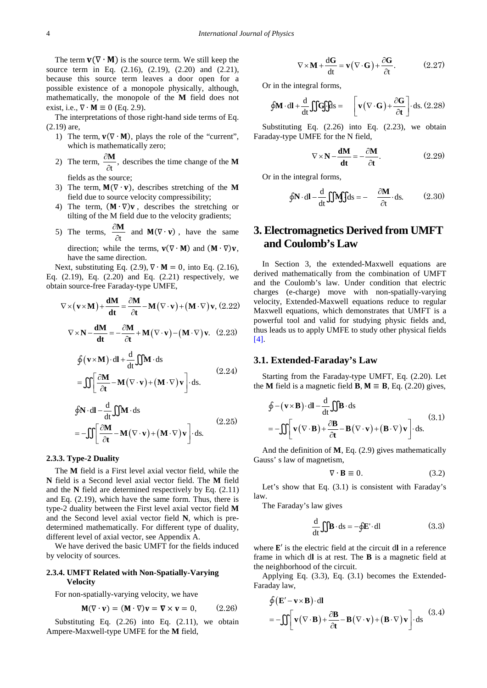The term  $\mathbf{v}(\nabla \cdot \mathbf{M})$  is the source term. We still keep the source term in Eq. (2.16), (2.19), (2.20) and (2.21), because this source term leaves a door open for a possible existence of a monopole physically, although, mathematically, the monopole of the **M** field does not exist, i.e.,  $\nabla \cdot \mathbf{M} \equiv 0$  (Eq. 2.9).

The interpretations of those right-hand side terms of Eq. (2.19) are,

- 1) The term,  $\mathbf{v}(\nabla \cdot \mathbf{M})$ , plays the role of the "current", which is mathematically zero;
- 2) The term,  $\frac{\partial \mathbf{M}}{\partial t}$ ,  $\frac{\partial M}{\partial t}$ , describes the time change of the **M**

fields as the source;

- 3) The term,  $M(\nabla \cdot \mathbf{v})$ , describes stretching of the M field due to source velocity compressibility;
- 4) The term,  $(M \cdot \nabla)v$ , describes the stretching or tilting of the M field due to the velocity gradients;
- 5) The terms,  $\frac{\partial \mathbf{H}}{\partial t}$ ∂  $\frac{\partial M}{\partial t}$  and  $M(\nabla \cdot \mathbf{v})$ , have the same

direction; while the terms,  $\mathbf{v}(\nabla \cdot \mathbf{M})$  and  $(\mathbf{M} \cdot \nabla)\mathbf{v}$ , have the same direction.

Next, substituting Eq. (2.9),  $\nabla \cdot \mathbf{M} = 0$ , into Eq. (2.16), Eq. (2.19), Eq. (2.20) and Eq. (2.21) respectively, we obtain source-free Faraday-type UMFE,

$$
\nabla \times (\mathbf{v} \times \mathbf{M}) + \frac{\mathbf{d}\mathbf{M}}{\mathbf{dt}} = \frac{\partial \mathbf{M}}{\partial t} - \mathbf{M} (\nabla \cdot \mathbf{v}) + (\mathbf{M} \cdot \nabla) \mathbf{v}, (2.22)
$$

$$
\nabla \times \mathbf{N} - \frac{\mathbf{d}\mathbf{M}}{\mathbf{dt}} = -\frac{\partial \mathbf{M}}{\partial t} + \mathbf{M} (\nabla \cdot \mathbf{v}) - (\mathbf{M} \cdot \nabla) \mathbf{v}.
$$
 (2.23)

$$
\oint (\mathbf{v} \times \mathbf{M}) \cdot d\mathbf{l} + \frac{d}{dt} \iint \mathbf{M} \cdot d\mathbf{s}
$$
\n
$$
= \iint \left[ \frac{\partial \mathbf{M}}{\partial t} - \mathbf{M} (\nabla \cdot \mathbf{v}) + (\mathbf{M} \cdot \nabla) \mathbf{v} \right] \cdot d\mathbf{s}.
$$
\n(2.24)

$$
\oint \mathbf{N} \cdot d\mathbf{l} - \frac{d}{dt} \iint \mathbf{M} \cdot d\mathbf{s}
$$
\n
$$
= -\iint \left[ \frac{\partial \mathbf{M}}{\partial t} - \mathbf{M} (\nabla \cdot \mathbf{v}) + (\mathbf{M} \cdot \nabla) \mathbf{v} \right] \cdot d\mathbf{s}.
$$
\n(2.25)

### **2.3.3. Type-2 Duality**

The **M** field is a First level axial vector field, while the **N** field is a Second level axial vector field. The **M** field and the **N** field are determined respectively by Eq. (2.11) and Eq. (2.19), which have the same form. Thus, there is type-2 duality between the First level axial vector field **M** and the Second level axial vector field **N**, which is predetermined mathematically. For different type of duality, different level of axial vector, see Appendix A.

We have derived the basic UMFT for the fields induced by velocity of sources.

### **2.3.4. UMFT Related with Non-Spatially-Varying Velocity**

For non-spatially-varying velocity, we have

$$
\mathbf{M}(\nabla \cdot \mathbf{v}) = (\mathbf{M} \cdot \nabla)\mathbf{v} = \nabla \times \mathbf{v} = 0, \quad (2.26)
$$

Substituting Eq.  $(2.26)$  into Eq.  $(2.11)$ , we obtain Ampere-Maxwell-type UMFE for the **M** field,

$$
\nabla \times \mathbf{M} + \frac{d\mathbf{G}}{dt} = \mathbf{v} (\nabla \cdot \mathbf{G}) + \frac{\partial \mathbf{G}}{\partial t}.
$$
 (2.27)

Or in the integral forms,

$$
\oint \mathbf{M} \cdot d\mathbf{l} + \frac{d}{dt} \iint G f f ds = \left[ \mathbf{v} (\nabla \cdot \mathbf{G}) + \frac{\partial G}{\partial t} \right] \cdot ds. (2.28)
$$

Substituting Eq. (2.26) into Eq. (2.23), we obtain Faraday-type UMFE for the N field,

$$
\nabla \times \mathbf{N} - \frac{\mathbf{d}\mathbf{M}}{\mathbf{dt}} = -\frac{\partial \mathbf{M}}{\partial t}.
$$
 (2.29)

Or in the integral forms,

$$
\oint \mathbf{N} \cdot d\mathbf{l} - \frac{d}{dt} \iiint ds = - \frac{\partial \mathbf{M}}{\partial t} \cdot ds. \quad (2.30)
$$

# **3. Electromagnetics Derived from UMFT and Coulomb's Law**

In Section 3, the extended-Maxwell equations are derived mathematically from the combination of UMFT and the Coulomb's law. Under condition that electric charges (e-charge) move with non-spatially-varying velocity, Extended-Maxwell equations reduce to regular Maxwell equations, which demonstrates that UMFT is a powerful tool and valid for studying physic fields and, thus leads us to apply UMFE to study other physical fields [\[4\].](#page-26-3)

### **3.1. Extended-Faraday's Law**

Starting from the Faraday-type UMFT, Eq. (2.20). Let the **M** field is a magnetic field **B**,  $M \equiv B$ , Eq. (2.20) gives,

$$
\oint - (\mathbf{v} \times \mathbf{B}) \cdot d\mathbf{l} - \frac{d}{dt} \iint \mathbf{B} \cdot d\mathbf{s}
$$
\n
$$
= -\iint \left[ \mathbf{v} (\nabla \cdot \mathbf{B}) + \frac{\partial \mathbf{B}}{\partial t} - \mathbf{B} (\nabla \cdot \mathbf{v}) + (\mathbf{B} \cdot \nabla) \mathbf{v} \right] \cdot d\mathbf{s}.
$$
\n(3.1)

And the definition of **M**, Eq. (2.9) gives mathematically Gauss' s law of magnetism,

$$
\nabla \cdot \mathbf{B} \equiv 0. \tag{3.2}
$$

Let's show that Eq. (3.1) is consistent with Faraday's law.

The Faraday's law gives

$$
\frac{d}{dt} \iint \mathbf{B} \cdot d\mathbf{s} = -\oint \mathbf{E}' \cdot d\mathbf{l}
$$
 (3.3)

where  $E'$  is the electric field at the circuit dl in a reference frame in which d**l** is at rest. The **B** is a magnetic field at the neighborhood of the circuit.

Applying Eq. (3.3), Eq. (3.1) becomes the Extended-Faraday law,

$$
\oint (\mathbf{E}' - \mathbf{v} \times \mathbf{B}) \cdot d\mathbf{l}
$$
\n
$$
= -\iint \left[ \mathbf{v} (\nabla \cdot \mathbf{B}) + \frac{\partial \mathbf{B}}{\partial t} - \mathbf{B} (\nabla \cdot \mathbf{v}) + (\mathbf{B} \cdot \nabla) \mathbf{v} \right] \cdot ds
$$
\n(3.4)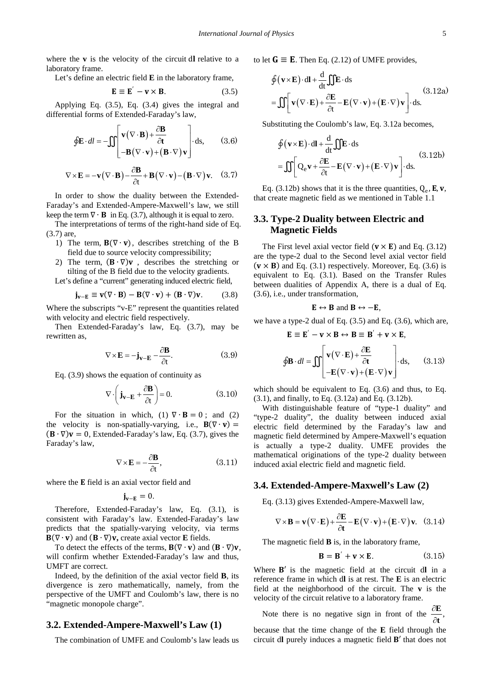where the  $\bf{v}$  is the velocity of the circuit dl relative to a laboratory frame.

Let's define an electric field **E** in the laboratory frame,

$$
\mathbf{E} \equiv \mathbf{E}' - \mathbf{v} \times \mathbf{B}.\tag{3.5}
$$

Applying Eq. (3.5), Eq. (3.4) gives the integral and differential forms of Extended-Faraday's law,

$$
\oint \mathbf{E} \cdot dl = -\iint \left[ \mathbf{v} (\nabla \cdot \mathbf{B}) + \frac{\partial \mathbf{B}}{\partial t} - \mathbf{B} (\nabla \cdot \mathbf{v}) + (\mathbf{B} \cdot \nabla) \mathbf{v} \right] \, \mathrm{d}s,\qquad (3.6)
$$

$$
\nabla \times \mathbf{E} = -\mathbf{v} (\nabla \cdot \mathbf{B}) - \frac{\partial \mathbf{B}}{\partial t} + \mathbf{B} (\nabla \cdot \mathbf{v}) - (\mathbf{B} \cdot \nabla) \mathbf{v}.
$$
 (3.7)

In order to show the duality between the Extended-Faraday's and Extended-Ampere-Maxwell's law, we still keep the term  $\nabla \cdot \mathbf{B}$  in Eq. (3.7), although it is equal to zero.

The interpretations of terms of the right-hand side of Eq. (3.7) are,

- 1) The term,  $\mathbf{B}(\nabla \cdot \mathbf{v})$ , describes stretching of the B field due to source velocity compressibility;
- 2) The term,  $(B \cdot \nabla)v$ , describes the stretching or tilting of the B field due to the velocity gradients.

Let's define a "current" generating induced electric field,

$$
\mathbf{j}_{\mathbf{v}-\mathbf{E}} \equiv \mathbf{v}(\nabla \cdot \mathbf{B}) - \mathbf{B}(\nabla \cdot \mathbf{v}) + (\mathbf{B} \cdot \nabla)\mathbf{v}.
$$
 (3.8)

Where the subscripts "v-E" represent the quantities related with velocity and electric field respectively.

Then Extended-Faraday's law, Eq. (3.7), may be rewritten as,

$$
\nabla \times \mathbf{E} = -\mathbf{j}_{\mathbf{v}-\mathbf{E}} - \frac{\partial \mathbf{B}}{\partial t}.
$$
 (3.9)

Eq. (3.9) shows the equation of continuity as

$$
\nabla \cdot \left( \mathbf{j}_{\mathbf{v}-\mathbf{E}} + \frac{\partial \mathbf{B}}{\partial t} \right) = 0. \tag{3.10}
$$

For the situation in which, (1)  $\nabla \cdot \mathbf{B} = 0$ ; and (2) the velocity is non-spatially-varying, i.e.,  $\mathbf{B}(\nabla \cdot \mathbf{v}) =$  $({\bf B} \cdot \nabla)$ **v** = 0, Extended-Faraday's law, Eq. (3.7), gives the Faraday's law,

$$
\nabla \times \mathbf{E} = -\frac{\partial \mathbf{B}}{\partial t},\tag{3.11}
$$

where the **E** field is an axial vector field and

$$
\mathbf{j}_{\mathbf{v}-\mathbf{E}}=0.
$$

Therefore, Extended-Faraday's law, Eq. (3.1), is consistent with Faraday's law. Extended-Faraday's law predicts that the spatially-varying velocity, via terms  $B(\nabla \cdot \mathbf{v})$  and  $(B \cdot \nabla)\mathbf{v}$ , create axial vector **E** fields.

To detect the effects of the terms,  $\mathbf{B}(\nabla \cdot \mathbf{v})$  and  $(\mathbf{B} \cdot \nabla)\mathbf{v}$ , will confirm whether Extended-Faraday's law and thus, UMFT are correct.

Indeed, by the definition of the axial vector field **B**, its divergence is zero mathematically, namely, from the perspective of the UMFT and Coulomb's law, there is no "magnetic monopole charge".

### **3.2. Extended-Ampere-Maxwell's Law (1)**

The combination of UMFE and Coulomb's law leads us

to let  $G \equiv E$ . Then Eq. (2.12) of UMFE provides,

$$
\oint (\mathbf{v} \times \mathbf{E}) \cdot d\mathbf{l} + \frac{d}{dt} \iint \mathbf{E} \cdot d\mathbf{s}
$$
\n
$$
= \iint \left[ \mathbf{v} (\nabla \cdot \mathbf{E}) + \frac{\partial \mathbf{E}}{\partial t} - \mathbf{E} (\nabla \cdot \mathbf{v}) + (\mathbf{E} \cdot \nabla) \mathbf{v} \right] \cdot d\mathbf{s}.
$$
\n(3.12a)

Substituting the Coulomb's law, Eq. 3.12a becomes,

$$
\oint (\mathbf{v} \times \mathbf{E}) \cdot d\mathbf{l} + \frac{d}{dt} \iint \mathbf{E} \cdot d\mathbf{s}
$$
\n
$$
= \iint Q_{e} \mathbf{v} + \frac{\partial \mathbf{E}}{\partial t} - \mathbf{E} (\nabla \cdot \mathbf{v}) + (\mathbf{E} \cdot \nabla) \mathbf{v} \bigg] \cdot d\mathbf{s}.
$$
\n(3.12b)

Eq. (3.12b) shows that it is the three quantities,  $Q_e$ , **E**, **v**, that create magnetic field as we mentioned in Table 1.1

# **3.3. Type-2 Duality between Electric and Magnetic Fields**

The First level axial vector field ( $v \times E$ ) and Eq. (3.12) are the type-2 dual to the Second level axial vector field  $(v \times B)$  and Eq. (3.1) respectively. Moreover, Eq. (3.6) is equivalent to Eq. (3.1). Based on the Transfer Rules between dualities of Appendix A, there is a dual of Eq. (3.6), i.e., under transformation,

$$
\mathbf{E} \leftrightarrow \mathbf{B} \text{ and } \mathbf{B} \leftrightarrow -\mathbf{E},
$$

we have a type-2 dual of Eq. (3.5) and Eq. (3.6), which are,

$$
\mathbf{E} \equiv \mathbf{E}' - \mathbf{v} \times \mathbf{B} \leftrightarrow \mathbf{B} \equiv \mathbf{B}' + \mathbf{v} \times \mathbf{E},
$$
  

$$
\oint \mathbf{B} \cdot dl = \iint \begin{bmatrix} \mathbf{v} (\nabla \cdot \mathbf{E}) + \frac{\partial \mathbf{E}}{\partial \mathbf{t}} \\ -\mathbf{E} (\nabla \cdot \mathbf{v}) + (\mathbf{E} \cdot \nabla) \mathbf{v} \end{bmatrix} \cdot ds, \quad (3.13)
$$

which should be equivalent to Eq. (3.6) and thus, to Eq. (3.1), and finally, to Eq. (3.12a) and Eq. (3.12b).

With distinguishable feature of "type-1 duality" and "type-2 duality", the duality between induced axial electric field determined by the Faraday's law and magnetic field determined by Ampere-Maxwell's equation is actually a type-2 duality. UMFE provides the mathematical originations of the type-2 duality between induced axial electric field and magnetic field.

### **3.4. Extended-Ampere-Maxwell's Law (2)**

Eq. (3.13) gives Extended-Ampere-Maxwell law,

$$
\nabla \times \mathbf{B} = \mathbf{v} (\nabla \cdot \mathbf{E}) + \frac{\partial \mathbf{E}}{\partial t} - \mathbf{E} (\nabla \cdot \mathbf{v}) + (\mathbf{E} \cdot \nabla) \mathbf{v}. \quad (3.14)
$$

The magnetic field **B** is, in the laboratory frame,

$$
\mathbf{B} = \mathbf{B}' + \mathbf{v} \times \mathbf{E}.\tag{3.15}
$$

Where  $B'$  is the magnetic field at the circuit dl in a reference frame in which d**l** is at rest. The **E** is an electric field at the neighborhood of the circuit. The **v** is the velocity of the circuit relative to a laboratory frame.

Note there is no negative sign in front of the  $\frac{\partial \mathbf{F}}{\partial t}$ , **E t** because that the time change of the **E** field through the circuit dl purely induces a magnetic field **B'** that does not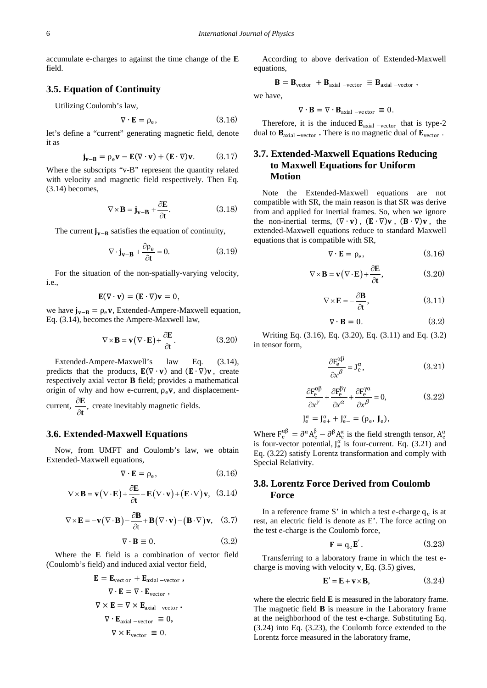accumulate e-charges to against the time change of the **E** field.

### **3.5. Equation of Continuity**

Utilizing Coulomb's law,

$$
\nabla \cdot \mathbf{E} = \rho_e,\tag{3.16}
$$

let's define a "current" generating magnetic field, denote it as

$$
\mathbf{j}_{\mathbf{v}-\mathbf{B}} = \rho_{\mathrm{e}} \mathbf{v} - \mathbf{E} (\nabla \cdot \mathbf{v}) + (\mathbf{E} \cdot \nabla) \mathbf{v}.
$$
 (3.17)

Where the subscripts "v-B" represent the quantity related with velocity and magnetic field respectively. Then Eq. (3.14) becomes,

$$
\nabla \times \mathbf{B} = \mathbf{j}_{\mathbf{v} - \mathbf{B}} + \frac{\partial \mathbf{E}}{\partial \mathbf{t}}.
$$
 (3.18)

The current  $j_{v-B}$  satisfies the equation of continuity,

$$
\nabla \cdot \mathbf{j}_{\mathbf{v} - \mathbf{B}} + \frac{\partial \rho_e}{\partial t} = 0.
$$
 (3.19)

For the situation of the non-spatially-varying velocity, i.e.,

$$
\mathbf{E}(\nabla \cdot \mathbf{v}) = (\mathbf{E} \cdot \nabla)\mathbf{v} = 0,
$$

we have  $j_{v-R} = \rho_e v$ , Extended-Ampere-Maxwell equation, Eq. (3.14), becomes the Ampere-Maxwell law,

$$
\nabla \times \mathbf{B} = \mathbf{v} (\nabla \cdot \mathbf{E}) + \frac{\partial \mathbf{E}}{\partial t}.
$$
 (3.20)

Extended-Ampere-Maxwell's law Eq. (3.14), predicts that the products,  $E(\nabla \cdot \mathbf{v})$  and  $(E \cdot \nabla) \mathbf{v}$ , create respectively axial vector **B** field; provides a mathematical origin of why and how e-current,  $\rho_e$ **v**, and displacementcurrent,  $\frac{\partial \mathbf{E}}{\partial \mathbf{t}},$  $\frac{\mathbf{E}}{\partial t}$ , create inevitably magnetic fields.

## **3.6. Extended-Maxwell Equations**

Now, from UMFT and Coulomb's law, we obtain Extended-Maxwell equations,

$$
\nabla \cdot \mathbf{E} = \rho_e,\tag{3.16}
$$

$$
\nabla \times \mathbf{B} = \mathbf{v} (\nabla \cdot \mathbf{E}) + \frac{\partial \mathbf{E}}{\partial \mathbf{t}} - \mathbf{E} (\nabla \cdot \mathbf{v}) + (\mathbf{E} \cdot \nabla) \mathbf{v}, \quad (3.14)
$$

$$
\nabla \times \mathbf{E} = -\mathbf{v} (\nabla \cdot \mathbf{B}) - \frac{\partial \mathbf{B}}{\partial t} + \mathbf{B} (\nabla \cdot \mathbf{v}) - (\mathbf{B} \cdot \nabla) \mathbf{v}, \quad (3.7)
$$

$$
\nabla \cdot \mathbf{B} \equiv 0. \tag{3.2}
$$

Where the **E** field is a combination of vector field (Coulomb's field) and induced axial vector field,

$$
\mathbf{E} = \mathbf{E}_{\text{vect or}} + \mathbf{E}_{\text{axial -vector}} ,
$$
  
\n
$$
\nabla \cdot \mathbf{E} = \nabla \cdot \mathbf{E}_{\text{vector}} ,
$$
  
\n
$$
\nabla \times \mathbf{E} = \nabla \times \mathbf{E}_{\text{axial -vector}} .
$$
  
\n
$$
\nabla \cdot \mathbf{E}_{\text{axial -vector}} \equiv 0 ,
$$
  
\n
$$
\nabla \times \mathbf{E}_{\text{vector}} \equiv 0 .
$$

According to above derivation of Extended-Maxwell equations,

$$
\mathbf{B} = \mathbf{B}_{vector} + \mathbf{B}_{axial - vector} \equiv \mathbf{B}_{axial - vector},
$$

we have,

$$
\nabla \cdot \mathbf{B} = \nabla \cdot \mathbf{B}_{\text{axial -vector}} \equiv 0.
$$

Therefore, it is the induced  $\mathbf{E}_{\text{axial -vector}}$  that is type-2 dual to  $\mathbf{B}_{\text{axial -vector}}$ . There is no magnetic dual of  $\mathbf{E}_{\text{vector}}$ .

# **3.7. Extended-Maxwell Equations Reducing to Maxwell Equations for Uniform Motion**

Note the Extended-Maxwell equations are not compatible with SR, the main reason is that SR was derive from and applied for inertial frames. So, when we ignore the non-inertial terms,  $(\nabla \cdot \mathbf{v})$ ,  $(\mathbf{E} \cdot \nabla) \mathbf{v}$ ,  $(\mathbf{B} \cdot \nabla) \mathbf{v}$ , the extended-Maxwell equations reduce to standard Maxwell equations that is compatible with SR,

$$
\nabla \cdot \mathbf{E} = \rho_e,\tag{3.16}
$$

$$
\nabla \times \mathbf{B} = \mathbf{v} (\nabla \cdot \mathbf{E}) + \frac{\partial \mathbf{E}}{\partial t},
$$
 (3.20)

$$
\nabla \times \mathbf{E} = -\frac{\partial \mathbf{B}}{\partial t},\tag{3.11}
$$

$$
\nabla \cdot \mathbf{B} = 0. \tag{3.2}
$$

Writing Eq. (3.16), Eq. (3.20), Eq. (3.11) and Eq. (3.2) in tensor form,

$$
\frac{\partial F_e^{\alpha\beta}}{\partial x^\beta} = J_e^\alpha, \tag{3.21}
$$

$$
\frac{\partial F_e^{\alpha\beta}}{\partial x^{\gamma}} + \frac{\partial F_e^{\beta\gamma}}{\partial x^{\alpha}} + \frac{\partial F_e^{\gamma\alpha}}{\partial x^{\beta}} = 0, \qquad (3.22)
$$
  

$$
J_e^{\alpha} = J_{e+}^{\alpha} + J_{e-}^{\alpha} = (\rho_e, J_e),
$$

Where  $F_e^{\alpha\beta} = \partial^{\alpha} A_e^{\beta} - \partial^{\beta} A_e^{\alpha}$  is the field strength tensor,  $A_e^{\alpha}$ is four-vector potential,  $J_e^{\alpha}$  is four-current. Eq. (3.21) and Eq. (3.22) satisfy Lorentz transformation and comply with Special Relativity.

# **3.8. Lorentz Force Derived from Coulomb Force**

In a reference frame S' in which a test e-charge  $q_e$  is at rest, an electric field is denote as E'. The force acting on the test e-charge is the Coulomb force,

$$
\mathbf{F} = \mathbf{q}_e \mathbf{E}.
$$
 (3.23)

Transferring to a laboratory frame in which the test echarge is moving with velocity **v**, Eq. (3.5) gives,

$$
\mathbf{E}' = \mathbf{E} + \mathbf{v} \times \mathbf{B},\tag{3.24}
$$

where the electric field **E** is measured in the laboratory frame. The magnetic field **B** is measure in the Laboratory frame at the neighborhood of the test e-charge. Substituting Eq. (3.24) into Eq. (3.23), the Coulomb force extended to the Lorentz force measured in the laboratory frame,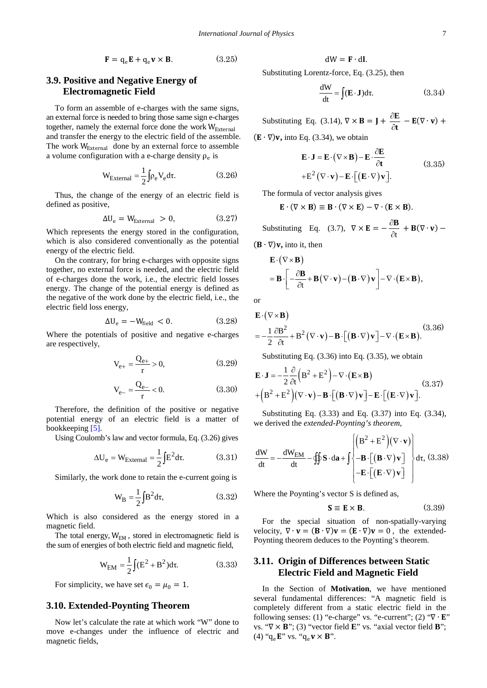$$
\mathbf{F} = \mathbf{q}_e \mathbf{E} + \mathbf{q}_e \mathbf{v} \times \mathbf{B}.
$$
 (3.25)

# **3.9. Positive and Negative Energy of Electromagnetic Field**

To form an assemble of e-charges with the same signs, an external force is needed to bring those same sign e-charges together, namely the external force done the work  $W_{\text{External}}$ and transfer the energy to the electric field of the assemble. The work W<sub>External</sub> done by an external force to assemble a volume configuration with a e-charge density  $\rho_e$  is

$$
W_{External} = \frac{1}{2} \int \rho_e V_e d\tau.
$$
 (3.26)

Thus, the change of the energy of an electric field is defined as positive,

$$
\Delta U_e = W_{\text{External}} > 0, \qquad (3.27)
$$

Which represents the energy stored in the configuration, which is also considered conventionally as the potential energy of the electric field.

On the contrary, for bring e-charges with opposite signs together, no external force is needed, and the electric field of e-charges done the work, i.e., the electric field losses energy. The change of the potential energy is defined as the negative of the work done by the electric field, i.e., the electric field loss energy,

$$
\Delta U_e = -W_{\text{field}} < 0. \tag{3.28}
$$

Where the potentials of positive and negative e-charges are respectively,

$$
V_{e+} = \frac{Q_{e+}}{r} > 0,
$$
\n(3.29)

$$
V_{e-} = \frac{Q_{e-}}{r} < 0. \tag{3.30}
$$

Therefore, the definition of the positive or negative potential energy of an electric field is a matter of bookkeeping [\[5\].](#page-26-4)

Using Coulomb's law and vector formula, Eq. (3.26) gives

$$
\Delta U_e = W_{\text{External}} = \frac{1}{2} \int E^2 d\tau.
$$
 (3.31)

Similarly, the work done to retain the e-current going is

$$
W_B = \frac{1}{2} \int B^2 d\tau,
$$
 (3.32)

Which is also considered as the energy stored in a magnetic field.

The total energy,  $W_{EM}$ , stored in electromagnetic field is the sum of energies of both electric field and magnetic field,

$$
W_{EM} = \frac{1}{2} \int (E^2 + B^2) d\tau.
$$
 (3.33)

For simplicity, we have set  $\epsilon_0 = \mu_0 = 1$ .

### **3.10. Extended-Poynting Theorem**

Now let's calculate the rate at which work "W" done to move e-changes under the influence of electric and magnetic fields,

$$
dW = \mathbf{F} \cdot d\mathbf{l}.
$$

Substituting Lorentz-force, Eq. (3.25), then

$$
\frac{dW}{dt} = \int (\mathbf{E} \cdot \mathbf{J}) d\tau.
$$
 (3.34)

Substituting Eq. (3.14),  $\nabla \times \mathbf{B} = \mathbf{J} + \frac{\hat{c}}{4}$ ∂ **E t** − **E**( $\nabla \cdot$ **v**) +

 $(E \cdot \nabla)v$ , into Eq. (3.34), we obtain

$$
\mathbf{E} \cdot \mathbf{J} = \mathbf{E} \cdot (\nabla \times \mathbf{B}) - \mathbf{E} \cdot \frac{\partial \mathbf{E}}{\partial t}
$$
  
+
$$
\mathbf{E}^2 (\nabla \cdot \mathbf{v}) - \mathbf{E} \cdot [(\mathbf{E} \cdot \nabla) \mathbf{v}].
$$
 (3.35)

The formula of vector analysis gives

$$
E \cdot (\nabla \times B) \equiv B \cdot (\nabla \times E) - \nabla \cdot (E \times B).
$$

Substituting Eq. (3.7),  $\nabla \times \mathbf{E} = -\frac{\partial \mathbf{F}}{\partial t}$ ∂ **B**  $+$  **B**( $\nabla \cdot \mathbf{v}$ ) –  $(\mathbf{B} \cdot \nabla) \mathbf{v}$ , into it, then

$$
\mathbf{E} \cdot (\nabla \times \mathbf{B})
$$
  
=  $\mathbf{B} \cdot \left[ -\frac{\partial \mathbf{B}}{\partial t} + \mathbf{B} (\nabla \cdot \mathbf{v}) - (\mathbf{B} \cdot \nabla) \mathbf{v} \right] - \nabla \cdot (\mathbf{E} \times \mathbf{B}),$ 

or

$$
\mathbf{E} \cdot (\nabla \times \mathbf{B})
$$
  
=  $-\frac{1}{2} \frac{\partial \mathbf{B}^2}{\partial t} + \mathbf{B}^2 (\nabla \cdot \mathbf{v}) - \mathbf{B} \cdot [(\mathbf{B} \cdot \nabla) \mathbf{v}] - \nabla \cdot (\mathbf{E} \times \mathbf{B}).$  (3.36)

Substituting Eq. (3.36) into Eq. (3.35), we obtain

$$
\mathbf{E} \cdot \mathbf{J} = -\frac{1}{2} \frac{\partial}{\partial t} \left( \mathbf{B}^2 + \mathbf{E}^2 \right) - \nabla \cdot (\mathbf{E} \times \mathbf{B})
$$
  
+  $\left( \mathbf{B}^2 + \mathbf{E}^2 \right) (\nabla \cdot \mathbf{v}) - \mathbf{B} \cdot \left[ (\mathbf{B} \cdot \nabla) \mathbf{v} \right] - \mathbf{E} \cdot \left[ (\mathbf{E} \cdot \nabla) \mathbf{v} \right].$  (3.37)

Substituting Eq. (3.33) and Eq. (3.37) into Eq. (3.34), we derived the *extended-Poynting's theorem*,

$$
\frac{dW}{dt} = -\frac{dW_{EM}}{dt} - \oiint \mathbf{S} \cdot d\mathbf{a} + \int \begin{Bmatrix} \left( \mathbf{B}^2 + \mathbf{E}^2 \right) (\nabla \cdot \mathbf{v}) \\ - \mathbf{B} \cdot \left[ \left( \mathbf{B} \cdot \nabla \right) \mathbf{v} \right] \\ - \mathbf{E} \cdot \left[ \left( \mathbf{E} \cdot \nabla \right) \mathbf{v} \right] \end{Bmatrix} d\tau, (3.38)
$$

Where the Poynting's vector S is defined as,

$$
\mathbf{S} \equiv \mathbf{E} \times \mathbf{B}.\tag{3.39}
$$

For the special situation of non-spatially-varying velocity,  $\nabla \cdot \mathbf{v} = (\mathbf{B} \cdot \nabla)\mathbf{v} = (\mathbf{E} \cdot \nabla)\mathbf{v} = 0$ , the extended-Poynting theorem deduces to the Poynting's theorem.

# **3.11. Origin of Differences between Static Electric Field and Magnetic Field**

In the Section of **Motivation**, we have mentioned several fundamental differences: "A magnetic field is completely different from a static electric field in the following senses: (1) "e-charge" vs. "e-current"; (2) " $\nabla \cdot \mathbf{E}$ " vs. "∇ × **B**"; (3) "vector field **E**" vs. "axial vector field **B**"; (4) " $q_e E$ " vs. " $q_e \mathbf{v} \times B$ ".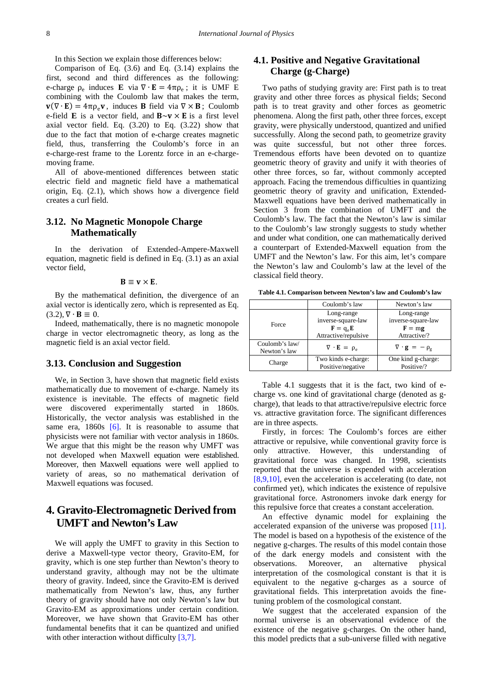In this Section we explain those differences below:

Comparison of Eq. (3.6) and Eq. (3.14) explains the first, second and third differences as the following: e-charge  $\rho_e$  induces **E** via  $\nabla \cdot \mathbf{E} = 4\pi \rho_e$ ; it is UMF E combining with the Coulomb law that makes the term,  $\mathbf{v}(\nabla \cdot \mathbf{E}) = 4\pi \rho_e \mathbf{v}$ , induces **B** field via  $\nabla \times \mathbf{B}$ ; Coulomb e-field **E** is a vector field, and  $\mathbf{B} \sim \mathbf{v} \times \mathbf{E}$  is a first level axial vector field. Eq. (3.20) to Eq. (3.22) show that due to the fact that motion of e-charge creates magnetic field, thus, transferring the Coulomb's force in an e-charge-rest frame to the Lorentz force in an e-chargemoving frame.

All of above-mentioned differences between static electric field and magnetic field have a mathematical origin, Eq. (2.1), which shows how a divergence field creates a curl field.

# **3.12. No Magnetic Monopole Charge Mathematically**

In the derivation of Extended-Ampere-Maxwell equation, magnetic field is defined in Eq. (3.1) as an axial vector field,

### $B \equiv v \times E$ .

By the mathematical definition, the divergence of an axial vector is identically zero, which is represented as Eq.  $(3.2), \nabla \cdot \mathbf{B} \equiv 0.$ 

Indeed, mathematically, there is no magnetic monopole charge in vector electromagnetic theory, as long as the magnetic field is an axial vector field.

### **3.13. Conclusion and Suggestion**

We, in Section 3, have shown that magnetic field exists mathematically due to movement of e-charge. Namely its existence is inevitable. The effects of magnetic field were discovered experimentally started in 1860s. Historically, the vector analysis was established in the same era,  $1860s$  [\[6\].](#page-26-5) It is reasonable to assume that physicists were not familiar with vector analysis in 1860s. We argue that this might be the reason why UMFT was not developed when Maxwell equation were established. Moreover, then Maxwell equations were well applied to variety of areas, so no mathematical derivation of Maxwell equations was focused.

# **4. Gravito-Electromagnetic Derived from UMFT and Newton's Law**

We will apply the UMFT to gravity in this Section to derive a Maxwell-type vector theory, Gravito-EM, for gravity, which is one step further than Newton's theory to understand gravity, although may not be the ultimate theory of gravity. Indeed, since the Gravito-EM is derived mathematically from Newton's law, thus, any further theory of gravity should have not only Newton's law but Gravito-EM as approximations under certain condition. Moreover, we have shown that Gravito-EM has other fundamental benefits that it can be quantized and unified with other interaction without difficulty [\[3,7\].](#page-26-2)

# **4.1. Positive and Negative Gravitational Charge (g-Charge)**

Two paths of studying gravity are: First path is to treat gravity and other three forces as physical fields; Second path is to treat gravity and other forces as geometric phenomena. Along the first path, other three forces, except gravity, were physically understood, quantized and unified successfully. Along the second path, to geometrize gravity was quite successful, but not other three forces. Tremendous efforts have been devoted on to quantize geometric theory of gravity and unify it with theories of other three forces, so far, without commonly accepted approach. Facing the tremendous difficulties in quantizing geometric theory of gravity and unification, Extended-Maxwell equations have been derived mathematically in Section 3 from the combination of UMFT and the Coulomb's law. The fact that the Newton's law is similar to the Coulomb's law strongly suggests to study whether and under what condition, one can mathematically derived a counterpart of Extended-Maxwell equation from the UMFT and the Newton's law. For this aim, let's compare the Newton's law and Coulomb's law at the level of the classical field theory.

**Table 4.1. Comparison between Newton's law and Coulomb's law**

|                                | Coulomb's law                                                                                      | Newton's law                                                 |
|--------------------------------|----------------------------------------------------------------------------------------------------|--------------------------------------------------------------|
| Force                          | Long-range<br>inverse-square-law<br>$\mathbf{F} = \mathbf{q}_e \mathbf{E}$<br>Attractive/repulsive | Long-range<br>inverse-square-law<br>$F = mg$<br>Attractive/? |
| Coulomb's law/<br>Newton's law | $\nabla \cdot \mathbf{E} = \rho_e$                                                                 | $\nabla \cdot \mathbf{g} = -\rho_{g}$                        |
| Charge                         | Two kinds e-charge:<br>Positive/negative                                                           | One kind g-charge:<br>Positive/?                             |

Table 4.1 suggests that it is the fact, two kind of echarge vs. one kind of gravitational charge (denoted as gcharge), that leads to that attractive/repulsive electric force vs. attractive gravitation force. The significant differences are in three aspects.

Firstly, in forces: The Coulomb's forces are either attractive or repulsive, while conventional gravity force is only attractive. However, this understanding of gravitational force was changed. In 1998, scientists reported that the universe is expended with acceleration [\[8,9,10\],](#page-26-6) even the acceleration is accelerating (to date, not confirmed yet), which indicates the existence of repulsive gravitational force. Astronomers invoke dark energy for this repulsive force that creates a constant acceleration.

An effective dynamic model for explaining the accelerated expansion of the universe was proposed [\[11\].](#page-26-7) The model is based on a hypothesis of the existence of the negative g-charges. The results of this model contain those of the dark energy models and consistent with the observations. Moreover, an alternative physical interpretation of the cosmological constant is that it is equivalent to the negative g-charges as a source of gravitational fields. This interpretation avoids the finetuning problem of the cosmological constant.

We suggest that the accelerated expansion of the normal universe is an observational evidence of the existence of the negative g-charges. On the other hand, this model predicts that a sub-universe filled with negative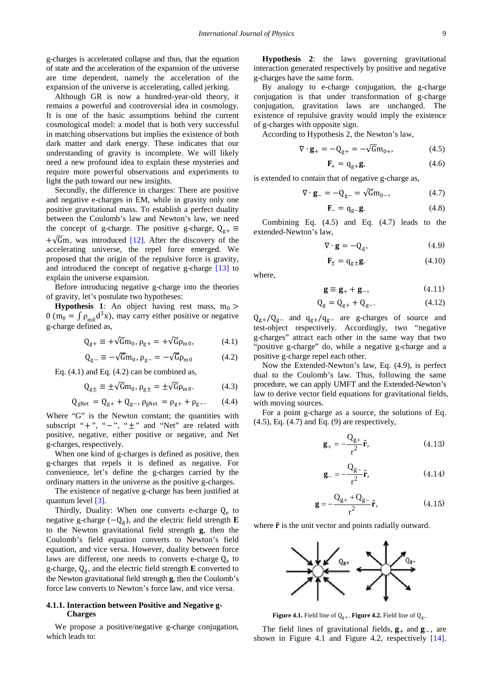g-charges is accelerated collapse and thus, that the equation of state and the acceleration of the expansion of the universe are time dependent, namely the acceleration of the expansion of the universe is accelerating, called jerking.

Although GR is now a hundred-year-old theory, it remains a powerful and controversial idea in cosmology. It is one of the basic assumptions behind the current cosmological model: a model that is both very successful in matching observations but implies the existence of both dark matter and dark energy. These indicates that our understanding of gravity is incomplete. We will likely need a new profound idea to explain these mysteries and require more powerful observations and experiments to light the path toward our new insights.

Secondly, the difference in charges: There are positive and negative e-charges in EM, while in gravity only one positive gravitational mass. To establish a perfect duality between the Coulomb's law and Newton's law, we need the concept of g-charge. The positive g-charge,  $Q_{g+} \equiv$  $+\sqrt{6}m$ , was introduced [\[12\].](#page-26-8) After the discovery of the accelerating universe, the repel force emerged. We proposed that the origin of the repulsive force is gravity, and introduced the concept of negative g-charge [\[13\]](#page-26-9) to explain the universe expansion.

Before introducing negative g-charge into the theories of gravity, let's postulate two hypotheses:

**Hypothesis 1**: An object having rest mass,  $m_0$  > 0 (m<sub>0</sub> =  $\int \rho_{m0} d^3x$ ), may carry either positive or negative g-charge defined as,

$$
Q_{g+} \equiv +\sqrt{G}m_0, \, \rho_{g+} = +\sqrt{G}\rho_{m0}, \tag{4.1}
$$

$$
Q_{g-} \equiv -\sqrt{G}m_0, \, \rho_{g-} = -\sqrt{G}\rho_{m0} \tag{4.2}
$$

Eq.  $(4.1)$  and Eq.  $(4.2)$  can be combined as,

$$
Q_{g\pm} \equiv \pm \sqrt{Gm_0}, \rho_{g\pm} = \pm \sqrt{G\rho_{m0}}.
$$
 (4.3)

$$
Q_{gNet} = Q_{g+} + Q_{g-}, \rho_{gNet} = \rho_{g+} + \rho_{g-}.
$$
 (4.4)

Where "G" is the Newton constant; the quantities with subscript "+", "-", " $\pm$ " and "Net" are related with positive, negative, either positive or negative, and Net g-charges, respectively.

When one kind of g-charges is defined as positive, then g-charges that repels it is defined as negative. For convenience, let's define the g-charges carried by the ordinary matters in the universe as the positive g-charges.

The existence of negative g-charge has been justified at quantum level [\[3\].](#page-26-2)

Thirdly, Duality: When one converts e-charge  $Q_e$  to negative g-charge  $(-Q_g)$ , and the electric field strength **E** to the Newton gravitational field strength **g**, then the Coulomb's field equation converts to Newton's field equation, and vice versa. However, duality between force laws are different, one needs to converts e-charge  $Q_e$  to g-charge,  $Q_g$ , and the electric field strength **E** converted to the Newton gravitational field strength **g**, then the Coulomb's force law converts to Newton's force law, and vice versa.

### **4.1.1. Interaction between Positive and Negative g-Charges**

We propose a positive/negative g-charge conjugation, which leads to:

**Hypothesis 2**: the laws governing gravitational interaction generated respectively by positive and negative g-charges have the same form.

By analogy to e-charge conjugation, the g-charge conjugation is that under transformation of g-charge conjugation, gravitation laws are unchanged. The existence of repulsive gravity would imply the existence of g-charges with opposite sign.

According to Hypothesis 2, the Newton's law,

$$
\nabla \cdot \mathbf{g}_{+} = -\mathbf{Q}_{g+} = -\sqrt{\mathbf{G}} \mathbf{m}_{0+}, \tag{4.5}
$$

$$
\mathbf{F}_{+} = \mathbf{q}_{g+} \mathbf{g},\tag{4.6}
$$

is extended to contain that of negative g-charge as,

$$
\nabla \cdot \mathbf{g}_{-} = -\mathbf{Q}_{g-} = \sqrt{\mathbf{G}} \mathbf{m}_{0-},\tag{4.7}
$$

$$
\mathbf{F}_{-} = \mathbf{q}_{g-} \mathbf{g}.\tag{4.8}
$$

Combining Eq. (4.5) and Eq. (4.7) leads to the extended-Newton's law,

$$
\nabla \cdot \mathbf{g} = -\mathbf{Q}_g,\tag{4.9}
$$

$$
\mathbf{F}_{\pm} = \mathbf{q}_{\mathbf{g} \pm} \mathbf{g}.\tag{4.10}
$$

where,

$$
\mathbf{g} \equiv \mathbf{g}_{+} + \mathbf{g}_{-}, \tag{4.11}
$$

$$
Q_g = Q_{g+} + Q_{g-}.
$$
 (4.12)

 $Q_{g+}/Q_{g-}$  and  $q_{g+}/q_{g-}$  are g-charges of source and test-object respectively. Accordingly, two "negative g-charges" attract each other in the same way that two "positive g-charge" do, while a negative g-charge and a positive g-charge repel each other.

Now the Extended-Newton's law, Eq. (4.9), is perfect dual to the Coulomb's law. Thus, following the same procedure, we can apply UMFT and the Extended-Newton's law to derive vector field equations for gravitational fields, with moving sources.

For a point g-charge as a source, the solutions of Eq. (4.5), Eq. (4.7) and Eq. (9) are respectively,

$$
\mathbf{g}_{+} = -\frac{\mathbf{Q}_{g+}}{\mathbf{r}^{2}} \hat{\mathbf{r}},\tag{4.13}
$$

$$
\mathbf{g}_{-} = -\frac{\mathbf{Q}_{g-}}{\mathbf{r}^2} \hat{\mathbf{r}},\tag{4.14}
$$

$$
\mathbf{g} = -\frac{Q_{g+} + Q_{g-}}{r^2} \hat{\mathbf{r}},\tag{4.15}
$$

where  $\hat{\mathbf{r}}$  is the unit vector and points radially outward.



**Figure 4.1.** Field line of Q<sub>g+</sub>. **Figure 4.2.** Field line of Q<sub>g−</sub>

The field lines of gravitational fields,  $\mathbf{g}_{+}$  and  $\mathbf{g}_{-}$ , are shown in Figure 4.1 and Figure 4.2, respectively [\[14\].](#page-26-10)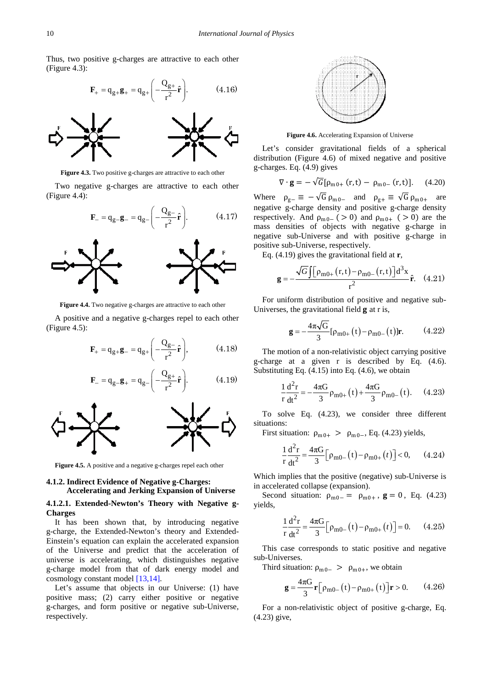Thus, two positive g-charges are attractive to each other (Figure 4.3):

$$
\mathbf{F}_{+} = \mathbf{q}_{g+} \mathbf{g}_{+} = \mathbf{q}_{g+} \left( -\frac{\mathbf{Q}_{g+}}{\mathbf{r}^{2}} \hat{\mathbf{r}} \right). \tag{4.16}
$$



**Figure 4.3.** Two positive g-charges are attractive to each other

Two negative g-charges are attractive to each other (Figure 4.4):

$$
\mathbf{F}_{-} = \mathbf{q}_{g-} \mathbf{g}_{-} = \mathbf{q}_{g-} \left( -\frac{\mathbf{Q}_{g-}}{\mathbf{r}^{2}} \hat{\mathbf{r}} \right). \tag{4.17}
$$



**Figure 4.4.** Two negative g-charges are attractive to each other

A positive and a negative g-charges repel to each other (Figure 4.5):





**Figure 4.5.** A positive and a negative g-charges repel each other

### **4.1.2. Indirect Evidence of Negative g-Charges: Accelerating and Jerking Expansion of Universe**

### **4.1.2.1. Extended-Newton's Theory with Negative g-Charges**

It has been shown that, by introducing negative g-charge, the Extended-Newton's theory and Extended-Einstein's equation can explain the accelerated expansion of the Universe and predict that the acceleration of universe is accelerating, which distinguishes negative g-charge model from that of dark energy model and cosmology constant model [\[13,14\].](#page-26-9)

Let's assume that objects in our Universe: (1) have positive mass; (2) carry either positive or negative g-charges, and form positive or negative sub-Universe, respectively.



**Figure 4.6.** Accelerating Expansion of Universe

Let's consider gravitational fields of a spherical distribution (Figure 4.6) of mixed negative and positive g-charges. Eq. (4.9) gives

$$
\nabla \cdot \mathbf{g} = -\sqrt{G} [\rho_{m0+} (r, t) - \rho_{m0-} (r, t)]. \quad (4.20)
$$

Where  $\rho_{g-} \equiv -\sqrt{G} \rho_{m0-}$  and  $\rho_{g+} \equiv \sqrt{G} \rho_{m0+}$  are negative g-charge density and positive g-charge density respectively. And  $\rho_{m0-}$  ( > 0) and  $\rho_{m0+}$  ( > 0) are the mass densities of objects with negative g-charge in negative sub-Universe and with positive g-charge in positive sub-Universe, respectively.

Eq. (4.19) gives the gravitational field at **r**,

$$
\mathbf{g} = -\frac{\sqrt{G} \int \left[\rho_{\text{m0}+}(\mathbf{r}, \mathbf{t}) - \rho_{\text{m0}-}(\mathbf{r}, \mathbf{t})\right] d^3 \mathbf{x}}{r^2} \hat{\mathbf{r}}. \quad (4.21)
$$

For uniform distribution of positive and negative sub-Universes, the gravitational field  $\boldsymbol{g}$  at r is,

$$
\mathbf{g} = -\frac{4\pi\sqrt{G}}{3} [\rho_{m0+}(t) - \rho_{m0-}(t)] \mathbf{r}.
$$
 (4.22)

The motion of a non-relativistic object carrying positive g-charge at a given r is described by Eq. (4.6). Substituting Eq. (4.15) into Eq. (4.6), we obtain

$$
\frac{1}{r}\frac{d^2r}{dt^2} = -\frac{4\pi G}{3}\rho_{m0+}(t) + \frac{4\pi G}{3}\rho_{m0-}(t). \quad (4.23)
$$

To solve Eq. (4.23), we consider three different situations:

First situation:  $\rho_{m0+} > \rho_{m0-}$ , Eq. (4.23) yields,

$$
\frac{1}{r}\frac{d^2r}{dt^2} = \frac{4\pi G}{3} \Big[ \rho_{m0-}(t) - \rho_{m0+}(t) \Big] < 0, \qquad (4.24)
$$

Which implies that the positive (negative) sub-Universe is in accelerated collapse (expansion).

Second situation:  $\rho_{m0-} = \rho_{m0+}$ ,  $g = 0$ , Eq. (4.23) yields,

$$
\frac{1}{r}\frac{d^2r}{dt^2} = \frac{4\pi G}{3} \Big[\rho_{m0-}(t) - \rho_{m0+}(t)\Big] = 0.
$$
 (4.25)

This case corresponds to static positive and negative sub-Universes.

Third situation:  $\rho_{m0-} > \rho_{m0+}$ , we obtain

$$
\mathbf{g} = \frac{4\pi G}{3} \mathbf{r} \left[ \rho_{\text{m0}-} \left( t \right) - \rho_{\text{m0}+} \left( t \right) \right] \mathbf{r} > 0. \tag{4.26}
$$

For a non-relativistic object of positive g-charge, Eq. (4.23) give,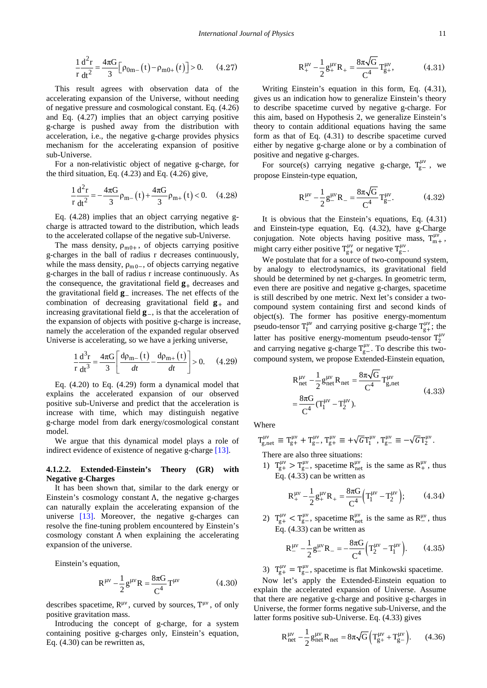$$
\frac{1}{r}\frac{d^2r}{dt^2} = \frac{4\pi G}{3} \Big[ \rho_{0m-}(t) - \rho_{m0+}(t) \Big] > 0. \quad (4.27)
$$

This result agrees with observation data of the accelerating expansion of the Universe, without needing of negative pressure and cosmological constant. Eq. (4.26) and Eq. (4.27) implies that an object carrying positive g-charge is pushed away from the distribution with acceleration, i.e., the negative g-charge provides physics mechanism for the accelerating expansion of positive sub-Universe.

For a non-relativistic object of negative g-charge, for the third situation, Eq. (4.23) and Eq. (4.26) give,

$$
\frac{1}{r}\frac{d^2r}{dt^2} = -\frac{4\pi G}{3}\rho_{m-}(t) + \frac{4\pi G}{3}\rho_{m+}(t) < 0. \quad (4.28)
$$

Eq. (4.28) implies that an object carrying negative gcharge is attracted toward to the distribution, which leads to the accelerated collapse of the negative sub-Universe.

The mass density,  $\rho_{m0+}$ , of objects carrying positive g-charges in the ball of radius r decreases continuously, while the mass density,  $\rho_{m0-}$ , of objects carrying negative g-charges in the ball of radius r increase continuously. As the consequence, the gravitational field  $\mathbf{g}_{+}$  decreases and the gravitational field  $\mathbf{g}_-$  increases. The net effects of the combination of decreasing gravitational field  $\mathbf{g}_{+}$  and increasing gravitational field  $\mathbf{g}_-$ , is that the acceleration of the expansion of objects with positive g-charge is increase, namely the acceleration of the expanded regular observed Universe is accelerating, so we have a jerking universe,

$$
\frac{1}{r}\frac{d^{3}r}{dt^{3}} = \frac{4\pi G}{3} \left[ \frac{d\rho_{m-}(t)}{dt} - \frac{d\rho_{m+}(t)}{dt} \right] > 0.
$$
 (4.29)

Eq. (4.20) to Eq. (4.29) form a dynamical model that explains the accelerated expansion of our observed positive sub-Universe and predict that the acceleration is increase with time, which may distinguish negative g-charge model from dark energy/cosmological constant model.

We argue that this dynamical model plays a role of indirect evidence of existence of negative g-charge [\[13\].](#page-26-9)

### **4.1.2.2. Extended-Einstein's Theory (GR) with Negative g-Charges**

It has been shown that, similar to the dark energy or Einstein's cosmology constant Λ, the negative g-charges can naturally explain the accelerating expansion of the universe [\[13\].](#page-26-9) Moreover, the negative g-charges can resolve the fine-tuning problem encountered by Einstein's cosmology constant Λ when explaining the accelerating expansion of the universe.

Einstein's equation,

$$
R^{\mu\nu} - \frac{1}{2} g^{\mu\nu} R = \frac{8\pi G}{C^4} T^{\mu\nu}
$$
 (4.30)

describes spacetime,  $R^{\mu\nu}$ , curved by sources,  $T^{\mu\nu}$ , of only positive gravitation mass.

Introducing the concept of g-charge, for a system containing positive g-charges only, Einstein's equation, Eq. (4.30) can be rewritten as,

$$
R_{+}^{\mu\nu} - \frac{1}{2} g_{+}^{\mu\nu} R_{+} = \frac{8\pi\sqrt{G}}{C^{4}} T_{g+}^{\mu\nu}, \qquad (4.31)
$$

Writing Einstein's equation in this form, Eq. (4.31), gives us an indication how to generalize Einstein's theory to describe spacetime curved by negative g-charge. For this aim, based on Hypothesis 2, we generalize Einstein's theory to contain additional equations having the same form as that of Eq. (4.31) to describe spacetime curved either by negative g-charge alone or by a combination of positive and negative g-charges.

For source(s) carrying negative g-charge,  $T_{g-}^{\mu\nu}$ , we propose Einstein-type equation,

$$
R_{-}^{\mu\nu} - \frac{1}{2} g_{-}^{\mu\nu} R_{-} = \frac{8\pi\sqrt{G}}{C^4} T_{g-}^{\mu\nu}.
$$
 (4.32)

It is obvious that the Einstein's equations, Eq. (4.31) and Einstein-type equation, Eq. (4.32), have g-Charge conjugation. Note objects having positive mass,  $T_{m+}^{\mu\nu}$ , might carry either positive  $T_{g+}^{\mu\nu}$  or negative  $T_{g-}^{\mu\nu}$ .

We postulate that for a source of two-compound system, by analogy to electrodynamics, its gravitational field should be determined by net g-charges. In geometric term, even there are positive and negative g-charges, spacetime is still described by one metric. Next let's consider a twocompound system containing first and second kinds of object(s). The former has positive energy-momentum pseudo-tensor  $T_1^{\mu\nu}$  and carrying positive g-charge  $T_{g+}^{\mu\nu}$ ; the latter has positive energy-momentum pseudo-tensor  $T_2^{\mu\nu}$ and carrying negative g-charge  $T_{g-}^{\mu\nu}$ . To describe this twocompound system, we propose Extended-Einstein equation,

$$
R_{net}^{\mu\nu} - \frac{1}{2} g_{net}^{\mu\nu} R_{net} = \frac{8\pi\sqrt{G}}{C^4} T_{g,net}^{\mu\nu}
$$
  
=  $\frac{8\pi G}{C^4} (T_1^{\mu\nu} - T_2^{\mu\nu}).$  (4.33)

Where

$$
T_{g,net}^{\mu\nu}\,\equiv\,T_{g+}^{\mu\nu}\,+\,T_{g-}^{\mu\nu},\,T_{g+}^{\mu\nu}\,\equiv\,+\sqrt{G}\,T_{1}^{\mu\nu},\,T_{g-}^{\mu\nu}\,\equiv\,-\sqrt{G}\,T_{2}^{\mu\nu}.
$$

There are also three situations:

1)  $T_{g+}^{\mu\nu} > T_{g-}^{\mu\nu}$ , spacetime  $R_{net}^{\mu\nu}$  is the same as  $R_{+}^{\mu\nu}$ , thus Eq. (4.33) can be written as

$$
R_{+}^{\mu\nu} - \frac{1}{2} g_{+}^{\mu\nu} R_{+} = \frac{8\pi G}{C^{4}} \Big( T_{1}^{\mu\nu} - T_{2}^{\mu\nu} \Big); \tag{4.34}
$$

2)  $T_{g+}^{\mu\nu} < T_{g-}^{\mu\nu}$ , spacetime  $R_{net}^{\mu\nu}$  is the same as  $R_{-}^{\mu\nu}$ , thus Eq. (4.33) can be written as

$$
R_{-}^{\mu\nu} - \frac{1}{2} g_{-}^{\mu\nu} R_{-} = -\frac{8\pi G}{C^4} \Big( T_2^{\mu\nu} - T_1^{\mu\nu} \Big). \tag{4.35}
$$

3)  $T_{g+}^{\mu\nu} = T_{g-}^{\mu\nu}$ , spacetime is flat Minkowski spacetime.

Now let's apply the Extended-Einstein equation to explain the accelerated expansion of Universe. Assume that there are negative g-charge and positive g-charges in Universe, the former forms negative sub-Universe, and the latter forms positive sub-Universe. Eq. (4.33) gives

$$
R_{net}^{\mu\nu} - \frac{1}{2} g_{net}^{\mu\nu} R_{net} = 8\pi \sqrt{G} \left( T_{g+}^{\mu\nu} + T_{g-}^{\mu\nu} \right). \tag{4.36}
$$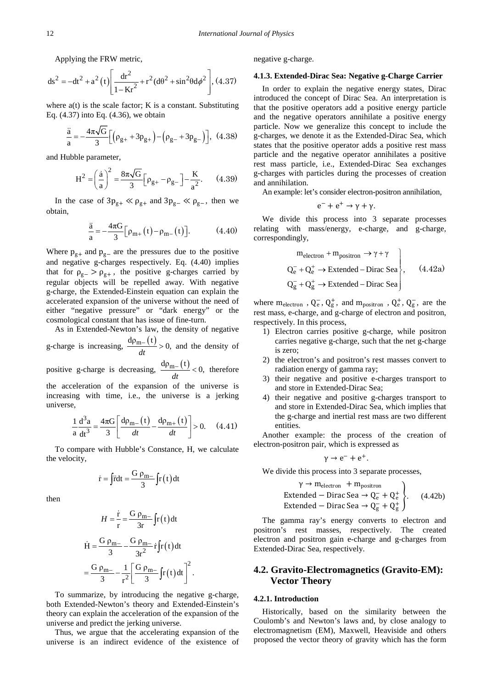Applying the FRW metric,

$$
ds^{2} = -dt^{2} + a^{2} (t) \left[ \frac{dr^{2}}{1 - Kr^{2}} + r^{2} (d\theta^{2} + \sin^{2}\theta d\phi^{2} \right], (4.37)
$$

where  $a(t)$  is the scale factor; K is a constant. Substituting Eq. (4.37) into Eq. (4.36), we obtain

$$
\frac{\ddot{a}}{a} = -\frac{4\pi\sqrt{G}}{3} \Big[ \Big( \rho_{g+} + 3p_{g+} \Big) - \Big( \rho_{g-} + 3p_{g-} \Big) \Big], \ (4.38)
$$

and Hubble parameter,

$$
H^{2} = \left(\frac{\dot{a}}{a}\right)^{2} = \frac{8\pi\sqrt{G}}{3} \left[\rho_{g+} - \rho_{g-}\right] - \frac{K}{a^{2}}.
$$
 (4.39)

In the case of  $3p_{g+} \ll \rho_{g+}$  and  $3p_{g-} \ll \rho_{g-}$ , then we obtain,

$$
\frac{\ddot{a}}{a} = -\frac{4\pi G}{3} \Big[ \rho_{m+}(t) - \rho_{m-}(t) \Big]. \tag{4.40}
$$

Where  $p_{g+}$  and  $p_{g-}$  are the pressures due to the positive and negative g-charges respectively. Eq. (4.40) implies that for  $\rho_{g-} > \rho_{g+}$ , the positive g-charges carried by regular objects will be repelled away. With negative g-charge, the Extended-Einstein equation can explain the accelerated expansion of the universe without the need of either "negative pressure" or "dark energy" or the cosmological constant that has issue of fine-turn.

As in Extended-Newton's law, the density of negative g-charge is increasing,  $\frac{d\rho_{m-}(t)}{dt} > 0$ , and the density of positive g-charge is decreasing,  $\frac{d\rho_{m-}(t)}{dt} < 0$ , therefore the acceleration of the expansion of the universe is increasing with time, i.e., the universe is a jerking universe,

$$
\frac{1}{a}\frac{d^{3}a}{dt^{3}} = \frac{4\pi G}{3} \left[ \frac{d\rho_{m-}(t)}{dt} - \frac{d\rho_{m+}(t)}{dt} \right] > 0. \quad (4.41)
$$

To compare with Hubble's Constance, H, we calculate the velocity,

$$
\dot{\mathbf{r}} = \int \dot{\mathbf{r}} \mathrm{d}t = \frac{\mathbf{G} \rho_{\mathbf{m}-}}{3} \int \mathbf{r} \, (t) \, \mathrm{d}t
$$

then

$$
H = \frac{\dot{r}}{r} = \frac{G \rho_{m-}}{3r} \int r(t) dt
$$

$$
\dot{H} = \frac{G \rho_{m-}}{3} - \frac{G \rho_{m-}}{3r^2} \dot{r} \int r(t) dt
$$

$$
= \frac{G \rho_{m-}}{3} - \frac{1}{r^2} \left[ \frac{G \rho_{m-}}{3} \int r(t) dt \right]^2.
$$

To summarize, by introducing the negative g-charge, both Extended-Newton's theory and Extended-Einstein's theory can explain the acceleration of the expansion of the universe and predict the jerking universe.

Thus, we argue that the accelerating expansion of the universe is an indirect evidence of the existence of negative g-charge.

### **4.1.3. Extended-Dirac Sea: Negative g-Charge Carrier**

In order to explain the negative energy states, Dirac introduced the concept of Dirac Sea. An interpretation is that the positive operators add a positive energy particle and the negative operators annihilate a positive energy particle. Now we generalize this concept to include the g-charges, we denote it as the Extended-Dirac Sea, which states that the positive operator adds a positive rest mass particle and the negative operator annihilates a positive rest mass particle, i.e., Extended-Dirac Sea exchanges g-charges with particles during the processes of creation and annihilation.

An example: let's consider electron-positron annihilation,

$$
e^- + e^+ \rightarrow \gamma + \gamma.
$$

We divide this process into 3 separate processes relating with mass/energy, e-charge, and g-charge, correspondingly,

$$
m_{electron} + m_{positron} \rightarrow \gamma + \gamma
$$
  
\n
$$
Q_{e}^{-} + Q_{e}^{+} \rightarrow Extended - Dirac Sea
$$
  
\n
$$
Q_{g}^{-} + Q_{g}^{+} \rightarrow Extended - Dirac Sea
$$
  
\n(4.42a)

where  $m_{electron}$ ,  $Q_e^-, Q_g^+,$  and  $m_{position}$ ,  $Q_e^+, Q_g^-,$  are the rest mass, e-charge, and g-charge of electron and positron, respectively. In this process,

- 1) Electron carries positive g-charge, while positron carries negative g-charge, such that the net g-charge is zero;
- 2) the electron's and positron's rest masses convert to radiation energy of gamma ray;
- 3) their negative and positive e-charges transport to and store in Extended-Dirac Sea;
- 4) their negative and positive g-charges transport to and store in Extended-Dirac Sea, which implies that the g-charge and inertial rest mass are two different entities.

Another example: the process of the creation of electron-positron pair, which is expressed as

$$
\gamma \to e^- + e^+.
$$

We divide this process into 3 separate processes,

$$
\gamma \to m_{\text{electron}} + m_{\text{positron}}
$$
  
Extended – Dirac Sea  $\to$  Q<sub>e</sub><sup>-</sup> + Q<sub>e</sub><sup>+</sup>  
Extended – Dirac Sea  $\to$  Q<sub>g</sub><sup>-</sup> + Q<sub>g</sub><sup>+</sup><sup>+</sup> (4.42b)

The gamma ray's energy converts to electron and positron's rest masses, respectively. The created electron and positron gain e-charge and g-charges from Extended-Dirac Sea, respectively.

# **4.2. Gravito-Electromagnetics (Gravito-EM): Vector Theory**

### **4.2.1. Introduction**

Historically, based on the similarity between the Coulomb's and Newton's laws and, by close analogy to electromagnetism (EM), Maxwell, Heaviside and others proposed the vector theory of gravity which has the form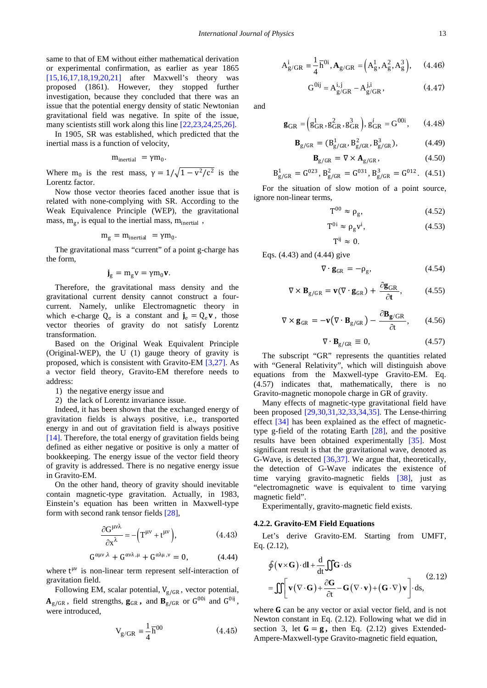same to that of EM without either mathematical derivation or experimental confirmation, as earlier as year 1865 [\[15,16,17,18,19,20,21\]](#page-26-11) after Maxwell's theory was proposed (1861). However, they stopped further investigation, because they concluded that there was an issue that the potential energy density of static Newtonian gravitational field was negative. In spite of the issue, many scientists still work along this line [\[22,23,24,25,26\].](#page-26-12)

In 1905, SR was established, which predicted that the inertial mass is a function of velocity,

$$
m_{inertial} \ = \gamma m_0.
$$

Where m<sub>0</sub> is the rest mass,  $\gamma = 1/\sqrt{1 - v^2/c^2}$  is the Lorentz factor.

Now those vector theories faced another issue that is related with none-complying with SR. According to the Weak Equivalence Principle (WEP), the gravitational mass,  $m_g$ , is equal to the inertial mass,  $m_{inertial}$ ,

$$
m_g = m_{inertial} = \gamma m_0.
$$

The gravitational mass "current" of a point g-charge has the form,

$$
\boldsymbol{j}_g = m_g v = \gamma m_0 \boldsymbol{v}.
$$

Therefore, the gravitational mass density and the gravitational current density cannot construct a fourcurrent. Namely, unlike Electromagnetic theory in which e-charge  $Q_e$  is a constant and  $j_e = Q_e v$ , those vector theories of gravity do not satisfy Lorentz transformation.

Based on the Original Weak Equivalent Principle (Original-WEP), the U (1) gauge theory of gravity is proposed, which is consistent with Gravito-EM [\[3,27\].](#page-26-2) As a vector field theory, Gravito-EM therefore needs to address:

- 1) the negative energy issue and
- 2) the lack of Lorentz invariance issue.

Indeed, it has been shown that the exchanged energy of gravitation fields is always positive, i.e., transported energy in and out of gravitation field is always positive [\[14\].](#page-26-10) Therefore, the total energy of gravitation fields being defined as either negative or positive is only a matter of bookkeeping. The energy issue of the vector field theory of gravity is addressed. There is no negative energy issue in Gravito-EM.

On the other hand, theory of gravity should inevitable contain magnetic-type gravitation. Actually, in 1983, Einstein's equation has been written in Maxwell-type form with second rank tensor fields [\[28\],](#page-26-13)

$$
\frac{\partial G^{\mu\nu\lambda}}{\partial x^{\lambda}} = -\left(T^{\mu\nu} + t^{\mu\nu}\right),\tag{4.43}
$$

$$
G^{\alpha\mu\nu\,\lambda} + G^{\alpha\nu\lambda\,\mu} + G^{\alpha\lambda\mu\,\nu} = 0, \qquad (4.44)
$$

where  $t^{\mu\nu}$  is non-linear term represent self-interaction of gravitation field.

Following EM, scalar potential,  $V_{\rm g/GR}$ , vector potential,  $A_{g/GR}$ , field strengths,  $g_{GR}$ , and  $B_{g/GR}$  or  $G^{00i}$  and  $G^{0ij}$ , were introduced,

$$
V_{g/GR} = \frac{1}{4} \overline{h}^{00} \tag{4.45}
$$

$$
A_{g/GR}^{i} \equiv \frac{1}{4} \overline{h}^{0i}, A_{g/GR} = (A_g^1, A_g^2, A_g^3), \quad (4.46)
$$

$$
G^{0ij} = A_{g/GR}^{i,j} - A_{g/GR}^{j,i}, \qquad (4.47)
$$

and

$$
\mathbf{g}_{GR} = \left( g_{GR}^1, g_{GR}^2, g_{GR}^3 \right), g_{GR}^i = G^{00i}, \qquad (4.48)
$$

$$
\mathbf{B}_{g/GR} = (B_{g/GR}^1, B_{g/GR}^2, B_{g/GR}^3), \tag{4.49}
$$

$$
\mathbf{B}_{g/GR} = \nabla \times \mathbf{A}_{g/GR},\tag{4.50}
$$

$$
B_{g/GR}^1 = G^{023}, B_{g/GR}^2 = G^{031}, B_{g/GR}^3 = G^{012}.
$$
 (4.51)

For the situation of slow motion of a point source, ignore non-linear terms,

$$
T^{00} \approx \rho_g, \tag{4.52}
$$

$$
T^{0i} \approx \rho_g v^i, \tag{4.53}
$$

$$
T^{ij} \approx 0.
$$

Eqs. (4.43) and (4.44) give

$$
\nabla \cdot \mathbf{g}_{GR} = -\rho_g, \qquad (4.54)
$$

$$
\nabla \times \mathbf{B}_{\text{g/GR}} = \mathbf{v}(\nabla \cdot \mathbf{g}_{\text{GR}}) + \frac{\partial \mathbf{g}_{\text{GR}}}{\partial t},
$$
 (4.55)

$$
\nabla \times \mathbf{g}_{GR} = -\mathbf{v} \big( \nabla \cdot \mathbf{B}_{g/GR} \big) - \frac{\partial \mathbf{B}_{g/GR}}{\partial t}, \qquad (4.56)
$$

$$
\nabla \cdot \mathbf{B}_{g/GR} \equiv 0, \tag{4.57}
$$

The subscript "GR" represents the quantities related with "General Relativity", which will distinguish above equations from the Maxwell-type Gravito-EM. Eq. (4.57) indicates that, mathematically, there is no Gravito-magnetic monopole charge in GR of gravity.

Many effects of magnetic-type gravitational field have been proposed [\[29,30,31,32,33,34,35\].](#page-26-14) The Lense-thirring effect [\[34\]](#page-26-15) has been explained as the effect of magnetictype g-field of the rotating Earth [\[28\],](#page-26-13) and the positive results have been obtained experimentally [\[35\].](#page-26-16) Most significant result is that the gravitational wave, denoted as G-Wave, is detected [\[36,37\].](#page-26-17) We argue that, theoretically, the detection of G-Wave indicates the existence of time varying gravito-magnetic fields [\[38\],](#page-26-18) just as "electromagnetic wave is equivalent to time varying magnetic field".

Experimentally, gravito-magnetic field exists.

### **4.2.2. Gravito-EM Field Equations**

Let's derive Gravito-EM. Starting from UMFT, Eq. (2.12),

$$
\oint (\mathbf{v} \times \mathbf{G}) \cdot d\mathbf{l} + \frac{d}{dt} \iint \mathbf{G} \cdot d\mathbf{s}
$$
\n
$$
= \iint \left[ \mathbf{v} (\nabla \cdot \mathbf{G}) + \frac{\partial \mathbf{G}}{\partial t} - \mathbf{G} (\nabla \cdot \mathbf{v}) + (\mathbf{G} \cdot \nabla) \mathbf{v} \right] \cdot d\mathbf{s},
$$
\n(2.12)

where  **can be any vector or axial vector field, and is not** Newton constant in Eq. (2.12). Following what we did in section 3, let  $G = g$ , then Eq. (2.12) gives Extended-Ampere-Maxwell-type Gravito-magnetic field equation,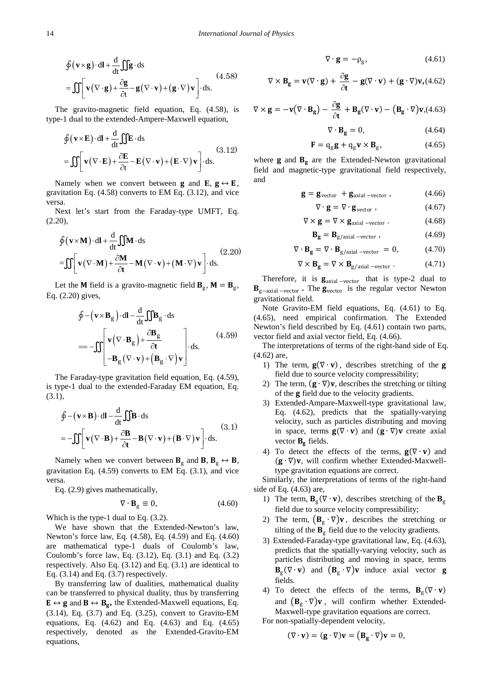$$
\oint (\mathbf{v} \times \mathbf{g}) \cdot d\mathbf{l} + \frac{d}{dt} \iint \mathbf{g} \cdot d\mathbf{s}
$$
\n
$$
= \iint \left[ \mathbf{v} (\nabla \cdot \mathbf{g}) + \frac{\partial \mathbf{g}}{\partial t} - \mathbf{g} (\nabla \cdot \mathbf{v}) + (\mathbf{g} \cdot \nabla) \mathbf{v} \right] \cdot d\mathbf{s}.
$$
\n(4.58)

The gravito-magnetic field equation, Eq. (4.58), is type-1 dual to the extended-Ampere-Maxwell equation,

$$
\oint (\mathbf{v} \times \mathbf{E}) \cdot d\mathbf{l} + \frac{d}{dt} \iint \mathbf{E} \cdot d\mathbf{s}
$$
\n
$$
= \iint \left[ \mathbf{v} (\nabla \cdot \mathbf{E}) + \frac{\partial \mathbf{E}}{\partial t} - \mathbf{E} (\nabla \cdot \mathbf{v}) + (\mathbf{E} \cdot \nabla) \mathbf{v} \right] \cdot d\mathbf{s}.
$$
\n(3.12)

Namely when we convert between **g** and **E**,  $g \leftrightarrow E$ , gravitation Eq. (4.58) converts to EM Eq. (3.12), and vice versa.

Next let's start from the Faraday-type UMFT, Eq.  $(2.20)$ ,

$$
\oint (\mathbf{v} \times \mathbf{M}) \cdot d\mathbf{l} + \frac{d}{dt} \iint \mathbf{M} \cdot d\mathbf{s}
$$
\n
$$
= \iint \left[ \mathbf{v} (\nabla \cdot \mathbf{M}) + \frac{\partial \mathbf{M}}{\partial t} - \mathbf{M} (\nabla \cdot \mathbf{v}) + (\mathbf{M} \cdot \nabla) \mathbf{v} \right] \cdot d\mathbf{s}.
$$
\n(2.20)

Let the **M** field is a gravito-magnetic field  $\mathbf{B}_{g}$ , **M** =  $\mathbf{B}_{g}$ , Eq. (2.20) gives,

$$
\oint - (\mathbf{v} \times \mathbf{B}_{g}) \cdot d\mathbf{l} - \frac{d}{dt} \iint \mathbf{B}_{g} \cdot d\mathbf{s}
$$
\n
$$
= -\iint \left[ \mathbf{v} (\nabla \cdot \mathbf{B}_{g}) + \frac{\partial \mathbf{B}_{g}}{\partial t} \cdot \mathbf{b} \right] \cdot d\mathbf{s}.
$$
\n(4.59)\n
$$
= -\iint \left[ -\mathbf{B}_{g} (\nabla \cdot \mathbf{v}) + \left( \mathbf{B}_{g} \cdot \nabla \right) \mathbf{v} \right]
$$

The Faraday-type gravitation field equation, Eq. (4.59), is type-1 dual to the extended-Faraday EM equation, Eq. (3.1),

$$
\oint -(\mathbf{v} \times \mathbf{B}) \cdot d\mathbf{l} - \frac{d}{dt} \iint \mathbf{B} \cdot d\mathbf{s}
$$
\n
$$
= -\iint \left[ \mathbf{v} (\nabla \cdot \mathbf{B}) + \frac{\partial \mathbf{B}}{\partial t} - \mathbf{B} (\nabla \cdot \mathbf{v}) + (\mathbf{B} \cdot \nabla) \mathbf{v} \right] \cdot d\mathbf{s}.
$$
\n(3.1)

Namely when we convert between  $B_g$  and  $B, B_g \leftrightarrow B$ , gravitation Eq. (4.59) converts to EM Eq. (3.1), and vice versa.

Eq. (2.9) gives mathematically,

$$
\nabla \cdot \mathbf{B}_{\text{g}} \equiv 0,\tag{4.60}
$$

Which is the type-1 dual to Eq. (3.2).

We have shown that the Extended-Newton's law, Newton's force law, Eq. (4.58), Eq. (4.59) and Eq. (4.60) are mathematical type-1 duals of Coulomb's law, Coulomb's force law, Eq. (3.12), Eq. (3.1) and Eq. (3.2) respectively. Also Eq. (3.12) and Eq. (3.1) are identical to Eq.  $(3.14)$  and Eq.  $(3.7)$  respectively.

By transferring law of dualities, mathematical duality can be transferred to physical duality, thus by transferring  $\mathbf{E} \leftrightarrow \mathbf{g}$  and  $\mathbf{B} \leftrightarrow \mathbf{B}_{g}$ , the Extended-Maxwell equations, Eq. (3.14), Eq. (3.7) and Eq. (3.25), convert to Gravito-EM equations, Eq. (4.62) and Eq. (4.63) and Eq. (4.65) respectively, denoted as the Extended-Gravito-EM equations,

$$
\nabla \cdot \mathbf{g} = -\rho_{\rm g},\tag{4.61}
$$

$$
\nabla \times \mathbf{B}_{\mathbf{g}} = \mathbf{v}(\nabla \cdot \mathbf{g}) + \frac{\partial \mathbf{g}}{\partial t} - \mathbf{g}(\nabla \cdot \mathbf{v}) + (\mathbf{g} \cdot \nabla)\mathbf{v}, (4.62)
$$

$$
\nabla \times \mathbf{g} = -\mathbf{v}(\nabla \cdot \mathbf{B}_{\mathbf{g}}) - \frac{\partial \mathbf{g}}{\partial t} + \mathbf{B}_{\mathbf{g}}(\nabla \cdot \mathbf{v}) - (\mathbf{B}_{\mathbf{g}} \cdot \nabla)\mathbf{v}, (4.63)
$$

$$
\nabla \cdot \mathbf{B}_{\mathbf{g}} = 0, \tag{4.64}
$$

$$
\mathbf{F} = \mathbf{q}_{g}\mathbf{g} + \mathbf{q}_{g}\mathbf{v} \times \mathbf{B}_{g}, \qquad (4.65)
$$

where  $\mathbf g$  and  $\mathbf B_g$  are the Extended-Newton gravitational field and magnetic-type gravitational field respectively, and

$$
\mathbf{g} = \mathbf{g}_{\text{vector}} + \mathbf{g}_{\text{axial}-\text{vector}} , \qquad (4.66)
$$

$$
\nabla \cdot \mathbf{g} = \nabla \cdot \mathbf{g}_{\text{vector}} , \qquad (4.67)
$$

$$
\nabla \times \mathbf{g} = \nabla \times \mathbf{g}_{\text{axial -vector}} \ . \tag{4.68}
$$

$$
\mathbf{B}_{\mathbf{g}} = \mathbf{B}_{\text{g/axial -vector}} , \qquad (4.69)
$$

$$
\nabla \cdot \mathbf{B}_{\mathbf{g}} = \nabla \cdot \mathbf{B}_{\text{g/axial -vector}} = 0, \tag{4.70}
$$

$$
\nabla \times \mathbf{B}_{\mathbf{g}} = \nabla \times \mathbf{B}_{\text{g/axial -vector}} \tag{4.71}
$$

Therefore, it is  $\mathbf{g}_{\text{axial}-\text{vector}}$  that is type-2 dual to **B**<sub>g−axial –vector **•** The **g**<sub>vector</sub> is the regular vector Newton</sub> gravitational field.

Note Gravito-EM field equations, Eq. (4.61) to Eq. (4.65), need empirical confirmation. The Extended Newton's field described by Eq. (4.61) contain two parts, vector field and axial vector field, Eq. (4.66).

The interpretations of terms of the right-hand side of Eq. (4.62) are,

- 1) The term,  $\mathbf{g}(\nabla \cdot \mathbf{v})$ , describes stretching of the **g** field due to source velocity compressibility;
- 2) The term,  $(g \cdot \nabla)v$ , describes the stretching or tilting of the **g** field due to the velocity gradients.
- 3) Extended-Ampare-Maxwell-type gravitational law, Eq. (4.62), predicts that the spatially-varying velocity, such as particles distributing and moving in space, terms  $\mathbf{g}(\nabla \cdot \mathbf{v})$  and  $(\mathbf{g} \cdot \nabla)\mathbf{v}$  create axial vector  $B<sub>g</sub>$  fields.
- 4) To detect the effects of the terms,  $g(\nabla \cdot v)$  and  $(g \cdot \nabla)v$ , will confirm whether Extended-Maxwelltype gravitation equations are correct.

Similarly, the interpretations of terms of the right-hand side of Eq. (4.63) are,

- 1) The term,  $\mathbf{B}_{g}(\nabla \cdot \mathbf{v})$ , describes stretching of the  $\mathbf{B}_{g}$ field due to source velocity compressibility;
- 2) The term,  $(\mathbf{B}_g \cdot \nabla)\mathbf{v}$ , describes the stretching or tilting of the  $B<sub>g</sub>$  field due to the velocity gradients.
- 3) Extended-Faraday-type gravitational law, Eq. (4.63), predicts that the spatially-varying velocity, such as particles distributing and moving in space, terms  $\mathbf{B}_{g}(\nabla \cdot \mathbf{v})$  and  $(\mathbf{B}_{g} \cdot \nabla)\mathbf{v}$  induce axial vector **g** fields.
- 4) To detect the effects of the terms,  $B_{g}(\nabla \cdot v)$ and  $(\mathbf{B}_{g} \cdot \nabla) \mathbf{v}$ , will confirm whether Extended-Maxwell-type gravitation equations are correct. For non-spatially-dependent velocity,

 $(\nabla \cdot \mathbf{v}) = (\mathbf{g} \cdot \nabla)\mathbf{v} = (\mathbf{B}_{g} \cdot \nabla)\mathbf{v} = 0,$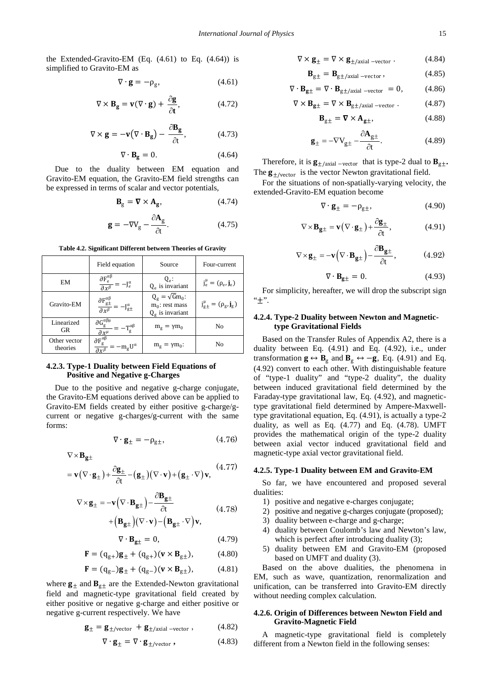the Extended-Gravito-EM  $(Eq. (4.61)$  to Eq.  $(4.64)$  is simplified to Gravito-EM as

$$
\nabla \cdot \mathbf{g} = -\rho_{\rm g},\tag{4.61}
$$

$$
\nabla \times \mathbf{B}_{\mathbf{g}} = \mathbf{v}(\nabla \cdot \mathbf{g}) + \frac{\partial \mathbf{g}}{\partial t},
$$
 (4.72)

$$
\nabla \times \mathbf{g} = -\mathbf{v} (\nabla \cdot \mathbf{B}_{\mathbf{g}}) - \frac{\partial \mathbf{B}_{\mathbf{g}}}{\partial t},
$$
 (4.73)

$$
\nabla \cdot \mathbf{B}_{\mathbf{g}} = 0. \tag{4.64}
$$

Due to the duality between EM equation and Gravito-EM equation, the Gravito-EM field strengths can be expressed in terms of scalar and vector potentials,

$$
\mathbf{B}_{\rm g} = \nabla \times \mathbf{A}_{\rm g},\tag{4.74}
$$

$$
\mathbf{g} = -\nabla V_{\rm g} - \frac{\partial \mathbf{A}_{\rm g}}{\partial t}.
$$
 (4.75)

|                          | Field equation                                                                        | Source                                                                  | Four-current                     |
|--------------------------|---------------------------------------------------------------------------------------|-------------------------------------------------------------------------|----------------------------------|
| EM                       | $\frac{\partial F_e^{\alpha\beta}}{\partial x^\beta}$<br>$-J_e^{\alpha}$              | $Q_{\rho}$ :<br>$Q_e$ is invariant                                      | $j_e^{\mu} = (\rho_e, j_e)$      |
| Gravito-EM               | $\frac{\partial F_{g\pm}^{\alpha\beta}}{\partial x^\beta} = -J_{g\pm}^\alpha$         | $Q_g = \sqrt{G}m_0$ :<br>$m_0$ : rest mass<br>$Q_{\sigma}$ is invariant | $j_{g\pm}^{\mu} = (\rho_g, j_g)$ |
| Linearized<br><b>GR</b>  | $\frac{\partial G_{g}^{\alpha\beta\mu}}{\partial x^{\mu}} = -T_{g}^{\alpha\beta}$     | $m_g = \gamma m_0$                                                      | No                               |
| Other vector<br>theories | $\frac{\partial F_{\rm g}^{\alpha\beta}}{\partial x^\beta}$<br>$-m_{\rm g}U^{\alpha}$ | $m_g = \gamma m_0$ :                                                    | No                               |

**Table 4.2. Significant Different between Theories of Gravity**

### **4.2.3. Type-1 Duality between Field Equations of Positive and Negative g-Charges**

Due to the positive and negative g-charge conjugate, the Gravito-EM equations derived above can be applied to Gravito-EM fields created by either positive g-charge/gcurrent or negative g-charges/g-current with the same forms:

$$
\nabla \cdot \mathbf{g}_{\pm} = -\rho_{\text{g}\pm}, \tag{4.76}
$$

 $\nabla \times \mathbf{B}_{\mathbf{g}\pm}$ 

$$
= \mathbf{v}(\nabla \cdot \mathbf{g}_{\pm}) + \frac{\partial \mathbf{g}_{\pm}}{\partial t} - (\mathbf{g}_{\pm})(\nabla \cdot \mathbf{v}) + (\mathbf{g}_{\pm} \cdot \nabla) \mathbf{v}, \tag{4.77}
$$

$$
\nabla \times \mathbf{g}_{\pm} = -\mathbf{v} \left( \nabla \cdot \mathbf{B}_{\mathbf{g} \pm} \right) - \frac{\partial \mathbf{B}_{\mathbf{g} \pm}}{\partial t}
$$
 (4.78)

$$
+\Big(B_{g\pm}\Big)\big(\nabla\cdot v\big)-\Big(B_{g\pm}\cdot\nabla\Big)v,
$$

$$
\nabla \cdot \mathbf{B}_{\mathbf{g}\pm} = 0, \tag{4.79}
$$

$$
\mathbf{F} = (\mathbf{q}_{g+})\mathbf{g}_{\pm} + (\mathbf{q}_{g+})(\mathbf{v} \times \mathbf{B}_{g\pm}), \tag{4.80}
$$

$$
\mathbf{F} = (q_{g-})\mathbf{g}_{\pm} + (q_{g-})(\mathbf{v} \times \mathbf{B}_{g\pm}), \quad (4.81)
$$

where  $\mathbf{g}_{\pm}$  and  $\mathbf{B}_{g\pm}$  are the Extended-Newton gravitational field and magnetic-type gravitational field created by either positive or negative g-charge and either positive or negative g-current respectively. We have

$$
\mathbf{g}_{\pm} = \mathbf{g}_{\pm/\text{vector}} + \mathbf{g}_{\pm/\text{axial}-\text{vector}} ,\qquad(4.82)
$$

$$
\nabla \cdot \mathbf{g}_{\pm} = \nabla \cdot \mathbf{g}_{\pm/\text{vector}} , \qquad (4.83)
$$

$$
\nabla \times \mathbf{g}_{\pm} = \nabla \times \mathbf{g}_{\pm/\text{axial -vector}}.
$$
 (4.84)

$$
\mathbf{B}_{g\pm} = \mathbf{B}_{g\pm/\text{axial}-\text{vec tor}}\,,\tag{4.85}
$$

$$
\nabla \cdot \mathbf{B}_{\mathbf{g}\pm} = \nabla \cdot \mathbf{B}_{\text{g}\pm/\text{axial}-\text{vector}} = 0, \quad (4.86)
$$

$$
\nabla \times \mathbf{B}_{\mathbf{g}\pm} = \nabla \times \mathbf{B}_{\mathbf{g}\pm/\text{axial -vector}}.
$$
 (4.87)

$$
\mathbf{B}_{g\pm} = \nabla \times \mathbf{A}_{g\pm},\tag{4.88}
$$

$$
\mathbf{g}_{\pm} = -\nabla V_{\text{g}\pm} - \frac{\partial \mathbf{A}_{\text{g}\pm}}{\partial t}.
$$
 (4.89)

Therefore, it is  $\mathbf{g}_{\pm/\text{axial}-\text{vector}}$  that is type-2 dual to  $\mathbf{B}_{g\pm}$ . The  $\mathbf{g}_{\pm/\text{vector}}$  is the vector Newton gravitational field.

For the situations of non-spatially-varying velocity, the extended-Gravito-EM equation become

$$
\nabla \cdot \mathbf{g}_{\pm} = -\rho_{\text{g}\pm},\tag{4.90}
$$

$$
\nabla \times \mathbf{B}_{\mathbf{g}\pm} = \mathbf{v} \left( \nabla \cdot \mathbf{g}_{\pm} \right) + \frac{\partial \mathbf{g}_{\pm}}{\partial t},\tag{4.91}
$$

$$
\nabla \times \mathbf{g}_{\pm} = -\mathbf{v} \left( \nabla \cdot \mathbf{B}_{\mathbf{g} \pm} \right) - \frac{\partial \mathbf{B}_{\mathbf{g} \pm}}{\partial t},\tag{4.92}
$$

$$
\nabla \cdot \mathbf{B}_{\mathbf{g}\pm} = 0. \tag{4.93}
$$

For simplicity, hereafter, we will drop the subscript sign  $``+"$ .

### **4.2.4. Type-2 Duality between Newton and Magnetictype Gravitational Fields**

Based on the Transfer Rules of Appendix A2, there is a duality between Eq. (4.91) and Eq. (4.92), i.e., under transformation  $\mathbf{g} \leftrightarrow \mathbf{B}_{g}$  and  $\mathbf{B}_{g} \leftrightarrow -\mathbf{g}$ , Eq. (4.91) and Eq. (4.92) convert to each other. With distinguishable feature of "type-1 duality" and "type-2 duality", the duality between induced gravitational field determined by the Faraday-type gravitational law, Eq. (4.92), and magnetictype gravitational field determined by Ampere-Maxwelltype gravitational equation, Eq. (4.91), is actually a type-2 duality, as well as Eq.  $(4.77)$  and Eq.  $(4.78)$ . UMFT provides the mathematical origin of the type-2 duality between axial vector induced gravitational field and magnetic-type axial vector gravitational field.

### **4.2.5. Type-1 Duality between EM and Gravito-EM**

So far, we have encountered and proposed several dualities:

- 1) positive and negative e-charges conjugate;
- 2) positive and negative g-charges conjugate (proposed);
- 3) duality between e-charge and g-charge;
- 4) duality between Coulomb's law and Newton's law, which is perfect after introducing duality (3);
- 5) duality between EM and Gravito-EM (proposed based on UMFT and duality (3).

Based on the above dualities, the phenomena in EM, such as wave, quantization, renormalization and unification, can be transferred into Gravito-EM directly without needing complex calculation.

### **4.2.6. Origin of Differences between Newton Field and Gravito-Magnetic Field**

A magnetic-type gravitational field is completely different from a Newton field in the following senses: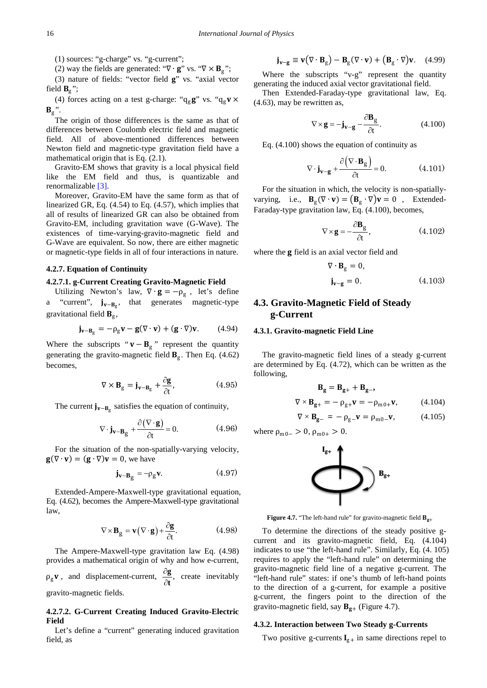(1) sources: "g-charge" vs. "g-current";

(2) way the fields are generated: " $\nabla \cdot \mathbf{g}$ " vs. " $\nabla \times \mathbf{B}_{g}$ ";

(3) nature of fields: "vector field **g**" vs. "axial vector field  $B_g$ ";

(4) forces acting on a test g-charge: " $q_g g$ " vs. " $q_g v \times$  $B_g$ ".

The origin of those differences is the same as that of differences between Coulomb electric field and magnetic field. All of above-mentioned differences between Newton field and magnetic-type gravitation field have a mathematical origin that is Eq. (2.1).

Gravito-EM shows that gravity is a local physical field like the EM field and thus, is quantizable and renormalizable [\[3\].](#page-26-2)

Moreover, Gravito-EM have the same form as that of linearized GR, Eq. (4.54) to Eq. (4.57), which implies that all of results of linearized GR can also be obtained from Gravito-EM, including gravitation wave (G-Wave). The existences of time-varying-gravito-magnetic field and G-Wave are equivalent. So now, there are either magnetic or magnetic-type fields in all of four interactions in nature.

### **4.2.7. Equation of Continuity**

### **4.2.7.1. g-Current Creating Gravito-Magnetic Field**

Utilizing Newton's law,  $\nabla \cdot \mathbf{g} = -\rho_{g}$ , let's define a "current",  $j_{v-B_g}$ , that generates magnetic-type gravitational field  $\mathbf{B}_{\varrho}$ ,

$$
\mathbf{j}_{\mathbf{v}-\mathbf{B}_g} = -\rho_g \mathbf{v} - \mathbf{g}(\nabla \cdot \mathbf{v}) + (\mathbf{g} \cdot \nabla)\mathbf{v}.
$$
 (4.94)

Where the subscripts " $\mathbf{v} - \mathbf{B}_g$ " represent the quantity generating the gravito-magnetic field  $B_g$ . Then Eq. (4.62) becomes,

$$
\nabla \times \mathbf{B}_{\mathbf{g}} = \mathbf{j}_{\mathbf{v} - \mathbf{B}_{\mathbf{g}}} + \frac{\partial \mathbf{g}}{\partial t},
$$
 (4.95)

The current  $j_{v-B_0}$  satisfies the equation of continuity,

$$
\nabla \cdot \mathbf{j}_{\mathbf{v} - \mathbf{B}_g} + \frac{\partial (\nabla \cdot \mathbf{g})}{\partial t} = 0.
$$
 (4.96)

For the situation of the non-spatially-varying velocity,  $\mathbf{g}(\nabla \cdot \mathbf{v}) = (\mathbf{g} \cdot \nabla)\mathbf{v} = 0$ , we have

$$
\mathbf{j}_{\mathbf{v}-\mathbf{B}_g} = -\rho_g \mathbf{v}.\tag{4.97}
$$

Extended-Ampere-Maxwell-type gravitational equation, Eq. (4.62), becomes the Ampere-Maxwell-type gravitational law,

$$
\nabla \times \mathbf{B}_g = \mathbf{v} (\nabla \cdot \mathbf{g}) + \frac{\partial \mathbf{g}}{\partial t}.
$$
 (4.98)

The Ampere-Maxwell-type gravitation law Eq. (4.98) provides a mathematical origin of why and how e-current,  $\rho_{\rm g}$ **v**, and displacement-current,  $\frac{\partial g}{\partial t}$ ,  $\frac{g}{\partial t}$ , create inevitably gravito-magnetic fields.

### **4.2.7.2. G-Current Creating Induced Gravito-Electric Field**

Let's define a "current" generating induced gravitation field, as

$$
\mathbf{j}_{\mathbf{v}-\mathbf{g}} \equiv \mathbf{v}(\nabla \cdot \mathbf{B}_{\mathbf{g}}) - \mathbf{B}_{\mathbf{g}}(\nabla \cdot \mathbf{v}) + (\mathbf{B}_{\mathbf{g}} \cdot \nabla)\mathbf{v}.
$$
 (4.99)

Where the subscripts "v-g" represent the quantity generating the induced axial vector gravitational field.

Then Extended-Faraday-type gravitational law, Eq. (4.63), may be rewritten as,

$$
\nabla \times \mathbf{g} = -\mathbf{j}_{\mathbf{v}-\mathbf{g}} - \frac{\partial \mathbf{B}_g}{\partial t}.
$$
 (4.100)

Eq. (4.100) shows the equation of continuity as

$$
\nabla \cdot \mathbf{j}_{\mathbf{v} - \mathbf{g}} + \frac{\partial (\nabla \cdot \mathbf{B}_{\mathbf{g}})}{\partial t} = 0.
$$
 (4.101)

For the situation in which, the velocity is non-spatiallyvarying, i.e.,  $\mathbf{B}_{g}(\nabla \cdot \mathbf{v}) = (\mathbf{B}_{g} \cdot \nabla)\mathbf{v} = 0$ , Extended-Faraday-type gravitation law, Eq. (4.100), becomes,

$$
\nabla \times \mathbf{g} = -\frac{\partial \mathbf{B}_g}{\partial t},\tag{4.102}
$$

where the **g** field is an axial vector field and

$$
\nabla \cdot \mathbf{B}_{g} = 0,
$$
  

$$
\mathbf{j}_{\mathbf{v} - \mathbf{g}} = 0.
$$
 (4.103)

# **4.3. Gravito-Magnetic Field of Steady g-Current**

### **4.3.1. Gravito-magnetic Field Line**

The gravito-magnetic field lines of a steady g-current are determined by Eq. (4.72), which can be written as the following,

$$
\mathbf{B}_{g} = \mathbf{B}_{g+} + \mathbf{B}_{g-},
$$
  
\n
$$
\nabla \times \mathbf{B}_{g+} = -\rho_{g+} \mathbf{v} = -\rho_{m0+} \mathbf{v},
$$
 (4.104)  
\n
$$
\nabla \times \mathbf{B}_{g-} = -\rho_{g-} \mathbf{v} = \rho_{m0-} \mathbf{v},
$$
 (4.105)

where  $\rho_{m0-} > 0$ ,  $\rho_{m0+} > 0$ .



**Figure 4.7.** "The left-hand rule" for gravito-magnetic field  $B_{g+}$ 

To determine the directions of the steady positive gcurrent and its gravito-magnetic field, Eq. (4.104) indicates to use "the left-hand rule". Similarly, Eq. (4. 105) requires to apply the "left-hand rule" on determining the gravito-magnetic field line of a negative g-current. The "left-hand rule" states: if one's thumb of left-hand points to the direction of a g-current, for example a positive g-current, the fingers point to the direction of the gravito-magnetic field, say  $B_{g+}$  (Figure 4.7).

### **4.3.2. Interaction between Two Steady g-Currents**

Two positive g-currents  $I_{g+}$  in same directions repel to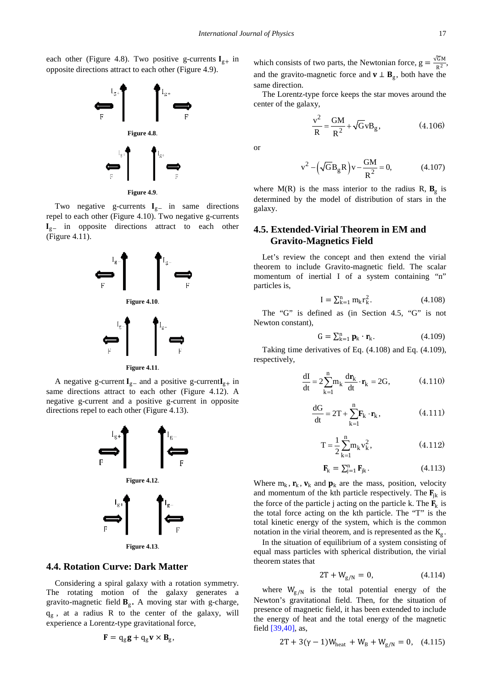each other (Figure 4.8). Two positive g-currents  $I_{g+}$  in opposite directions attract to each other (Figure 4.9).



**Figure 4.9**.

Two negative g-currents  $I_{g-}$  in same directions repel to each other (Figure 4.10). Two negative g-currents  $I_{g-}$  in opposite directions attract to each other (Figure 4.11).



A negative g-current  $I_{g-}$  and a positive g-current  $I_{g+}$  in same directions attract to each other (Figure 4.12). A negative g-current and a positive g-current in opposite directions repel to each other (Figure 4.13).



**Figure 4.13**.

### **4.4. Rotation Curve: Dark Matter**

Considering a spiral galaxy with a rotation symmetry. The rotating motion of the galaxy generates a gravito-magnetic field  $B_{\rm g}$ . A moving star with g-charge, qg , at a radius R to the center of the galaxy, will experience a Lorentz-type gravitational force,

$$
\mathbf{F} = \mathrm{q}_{\mathrm{g}} \mathbf{g} + \mathrm{q}_{\mathrm{g}} \mathbf{v} \times \mathbf{B}_{\mathrm{g}},
$$

which consists of two parts, the Newtonian force,  $g = \frac{\sqrt{GM}}{R^2}$ , and the gravito-magnetic force and  $\mathbf{v} \perp \mathbf{B}_g$ , both have the same direction.

The Lorentz-type force keeps the star moves around the center of the galaxy,

$$
\frac{v^2}{R} = \frac{GM}{R^2} + \sqrt{G}vB_g,
$$
 (4.106)

or

$$
v^{2} - (\sqrt{G}B_{g}R) v - \frac{GM}{R^{2}} = 0,
$$
 (4.107)

where  $M(R)$  is the mass interior to the radius R,  $B_g$  is determined by the model of distribution of stars in the galaxy.

# **4.5. Extended-Virial Theorem in EM and Gravito-Magnetics Field**

Let's review the concept and then extend the virial theorem to include Gravito-magnetic field. The scalar momentum of inertial I of a system containing "n" particles is,

$$
I = \sum_{k=1}^{n} m_k r_k^2.
$$
 (4.108)

The "G" is defined as (in Section 4.5, "G" is not Newton constant),

$$
\mathbf{G} = \sum_{k=1}^{n} \mathbf{p}_k \cdot \mathbf{r}_k. \tag{4.109}
$$

Taking time derivatives of Eq. (4.108) and Eq. (4.109), respectively,

$$
\frac{dI}{dt} = 2\sum_{k=1}^{n} m_k \frac{dr_k}{dt} \cdot \mathbf{r}_k = 2G,
$$
 (4.110)

$$
\frac{dG}{dt} = 2T + \sum_{k=1}^{n} \mathbf{F}_k \cdot \mathbf{r}_k, \qquad (4.111)
$$

$$
T = \frac{1}{2} \sum_{k=1}^{n} m_k v_k^2,
$$
 (4.112)

$$
\mathbf{F}_{k} = \sum_{j=1}^{n} \mathbf{F}_{jk}.
$$
 (4.113)

Where  $m_k$ ,  $\mathbf{r}_k$ ,  $\mathbf{v}_k$  and  $\mathbf{p}_k$  are the mass, position, velocity and momentum of the kth particle respectively. The  $\mathbf{F}_{jk}$  is the force of the particle j acting on the particle k. The  $\mathbf{F}_k$  is the total force acting on the kth particle. The "T" is the total kinetic energy of the system, which is the common notation in the virial theorem, and is represented as the  $K<sub>g</sub>$ .

In the situation of equilibrium of a system consisting of equal mass particles with spherical distribution, the virial theorem states that

$$
2T + W_{g/N} = 0, \t(4.114)
$$

where  $W_{g/N}$  is the total potential energy of the Newton's gravitational field. Then, for the situation of presence of magnetic field, it has been extended to include the energy of heat and the total energy of the magnetic field [\[39,40\],](#page-26-19) as,

$$
2T + 3(\gamma - 1)W_{heat} + W_B + W_{g/N} = 0, \quad (4.115)
$$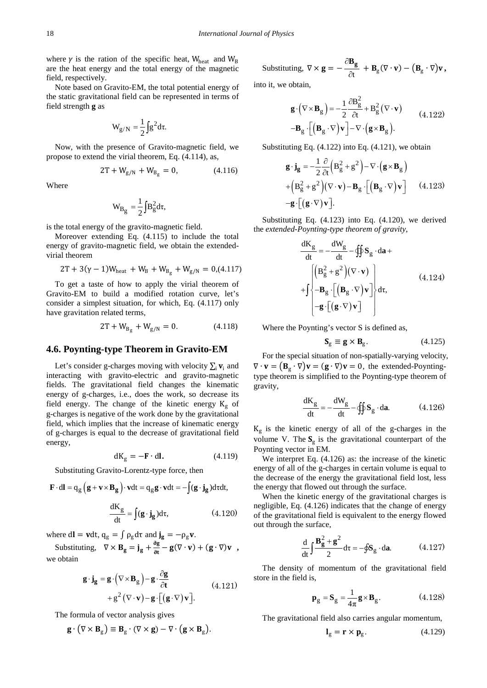where  $\gamma$  is the ration of the specific heat, W<sub>heat</sub> and W<sub>B</sub> are the heat energy and the total energy of the magnetic field, respectively.

Note based on Gravito-EM, the total potential energy of the static gravitational field can be represented in terms of field strength **g** as

$$
W_{g/N} = \frac{1}{2} \int g^2 d\tau.
$$

Now, with the presence of Gravito-magnetic field, we propose to extend the virial theorem, Eq. (4.114), as,

$$
2T + W_{g/N} + W_{B_g} = 0, \t(4.116)
$$

Where

$$
W_{B_g} = \frac{1}{2} \int B_g^2 d\tau,
$$

is the total energy of the gravito-magnetic field.

Moreover extending Eq. (4.115) to include the total energy of gravito-magnetic field, we obtain the extendedvirial theorem

$$
2T + 3(\gamma - 1)W_{heat} + W_B + W_{B_g} + W_{g/N} = 0, \! (4.117)
$$

To get a taste of how to apply the virial theorem of Gravito-EM to build a modified rotation curve, let's consider a simplest situation, for which, Eq. (4.117) only have gravitation related terms,

$$
2T + W_{B_g} + W_{g/N} = 0.
$$
 (4.118)

### **4.6. Poynting-type Theorem in Gravito-EM**

Let's consider g-charges moving with velocity  $\sum_i$  **v**<sub>i</sub> and interacting with gravito-electric and gravito-magnetic fields. The gravitational field changes the kinematic energy of g-charges, i.e., does the work, so decrease its field energy. The change of the kinetic energy  $K_g$  of g-charges is negative of the work done by the gravitational field, which implies that the increase of kinematic energy of g-charges is equal to the decrease of gravitational field energy,

$$
dK_g = -\mathbf{F} \cdot d\mathbf{l}.\tag{4.119}
$$

Substituting Gravito-Lorentz-type force, then

$$
\mathbf{F} \cdot d\mathbf{l} = q_g \left( \mathbf{g} + \mathbf{v} \times \mathbf{B}_g \right) \cdot \mathbf{v} dt = q_g \mathbf{g} \cdot \mathbf{v} dt = -\int (\mathbf{g} \cdot \mathbf{j}_g) d\tau dt,
$$

$$
\frac{dK_g}{dt} = \int (\mathbf{g} \cdot \mathbf{j}_g) d\tau,
$$
(4.120)

where  $dl = vdt$ ,  $q_g = \int \rho_g d\tau$  and  $\mathbf{j}_g = -\rho_g \mathbf{v}$ .

Substituting,  $\nabla \times \mathbf{B}_g = \mathbf{j}_g + \frac{\partial g}{\partial t} - \mathbf{g}(\nabla \cdot \mathbf{v}) + (\mathbf{g} \cdot \nabla)\mathbf{v}$ , we obtain

$$
\mathbf{g} \cdot \mathbf{j}_{\mathbf{g}} = \mathbf{g} \cdot (\nabla \times \mathbf{B}_{g}) - \mathbf{g} \cdot \frac{\partial \mathbf{g}}{\partial t}
$$
  
+  $g^{2} (\nabla \cdot \mathbf{v}) - \mathbf{g} \cdot [(\mathbf{g} \cdot \nabla) \mathbf{v}].$  (4.121)

The formula of vector analysis gives

$$
\mathbf{g} \cdot (\nabla \times \mathbf{B}_{g}) \equiv \mathbf{B}_{g} \cdot (\nabla \times \mathbf{g}) - \nabla \cdot (\mathbf{g} \times \mathbf{B}_{g}).
$$

Substituting, 
$$
\nabla \times \mathbf{g} = -\frac{\partial \mathbf{B}_g}{\partial t} + \mathbf{B}_g (\nabla \cdot \mathbf{v}) - (\mathbf{B}_g \cdot \nabla) \mathbf{v}
$$
,

 $\Delta$ 

into it, we obtain,

$$
\mathbf{g} \cdot (\nabla \times \mathbf{B}_{g}) = -\frac{1}{2} \frac{\partial \mathbf{B}_{g}^{2}}{\partial t} + \mathbf{B}_{g}^{2} (\nabla \cdot \mathbf{v})
$$
  
\n
$$
-\mathbf{B}_{g} \cdot \left[ \left( \mathbf{B}_{g} \cdot \nabla \right) \mathbf{v} \right] - \nabla \cdot \left( \mathbf{g} \times \mathbf{B}_{g} \right).
$$
\n(4.122)

Substituting Eq.  $(4.122)$  into Eq.  $(4.121)$ , we obtain

$$
\mathbf{g} \cdot \mathbf{j}_{\mathbf{g}} = -\frac{1}{2} \frac{\partial}{\partial t} \left( \mathbf{B}_{g}^{2} + \mathbf{g}^{2} \right) - \nabla \cdot \left( \mathbf{g} \times \mathbf{B}_{g} \right)
$$

$$
+ \left( \mathbf{B}_{g}^{2} + \mathbf{g}^{2} \right) \left( \nabla \cdot \mathbf{v} \right) - \mathbf{B}_{g} \cdot \left[ \left( \mathbf{B}_{g} \cdot \nabla \right) \mathbf{v} \right] \qquad (4.123)
$$

$$
- \mathbf{g} \cdot \left[ \left( \mathbf{g} \cdot \nabla \right) \mathbf{v} \right].
$$

Substituting Eq. (4.123) into Eq. (4.120), we derived the *extended-Poynting-type theorem of gravity*,

$$
\frac{dK_g}{dt} = -\frac{dW_g}{dt} - \oiint g \cdot da +
$$
\n
$$
+ \int \begin{cases} \left(B_g^2 + g^2\right)(\nabla \cdot \mathbf{v}) \\ -B_g \cdot \left[\left(B_g \cdot \nabla\right) \mathbf{v}\right] \\ -g \cdot \left[\left(g \cdot \nabla\right) \mathbf{v}\right] \end{cases} d\tau, \tag{4.124}
$$

Where the Poynting's vector S is defined as,

$$
\mathbf{S}_{\mathbf{g}} \equiv \mathbf{g} \times \mathbf{B}_{\mathbf{g}}.\tag{4.125}
$$

For the special situation of non-spatially-varying velocity,  $\nabla \cdot \mathbf{v} = (\mathbf{B}_{g} \cdot \nabla) \mathbf{v} = (\mathbf{g} \cdot \nabla) \mathbf{v} = 0$ , the extended-Poyntingtype theorem is simplified to the Poynting-type theorem of gravity,

$$
\frac{dK_g}{dt} = -\frac{dW_g}{dt} - \oiint S_g \cdot d\mathbf{a}.
$$
 (4.126)

 $K<sub>g</sub>$  is the kinetic energy of all of the g-charges in the volume V. The  $S_g$  is the gravitational counterpart of the Poynting vector in EM.

We interpret Eq. (4.126) as: the increase of the kinetic energy of all of the g-charges in certain volume is equal to the decrease of the energy the gravitational field lost, less the energy that flowed out through the surface.

When the kinetic energy of the gravitational charges is negligible, Eq. (4.126) indicates that the change of energy of the gravitational field is equivalent to the energy flowed out through the surface,

$$
\frac{d}{dt} \int \frac{\mathbf{B_g^2} + \mathbf{g}^2}{2} d\tau = -\oint \mathbf{S_g} \cdot d\mathbf{a}.
$$
 (4.127)

The density of momentum of the gravitational field store in the field is,

$$
\mathbf{p}_g = \mathbf{S}_g = \frac{1}{4\pi} \mathbf{g} \times \mathbf{B}_g.
$$
 (4.128)

The gravitational field also carries angular momentum,

$$
\mathbf{l}_{g} = \mathbf{r} \times \mathbf{p}_{g}. \tag{4.129}
$$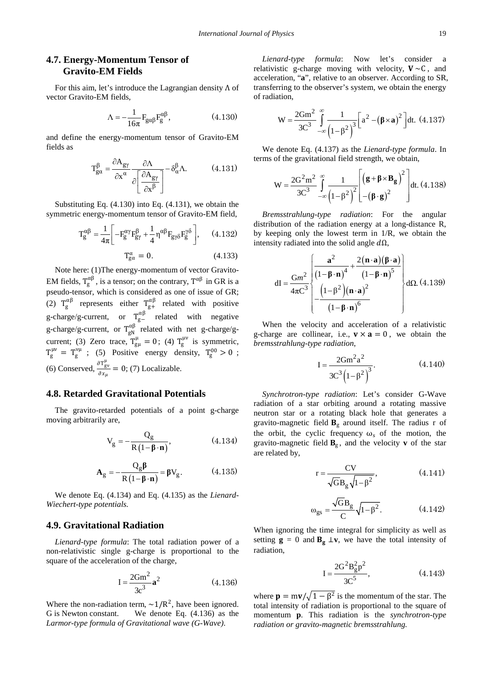# **4.7. Energy-Momentum Tensor of Gravito-EM Fields**

For this aim, let's introduce the Lagrangian density Λ of vector Gravito-EM fields,

$$
\Lambda = -\frac{1}{16\pi} F_{\text{gap}} F_{\text{g}}^{\alpha\beta}, \qquad (4.130)
$$

and define the energy-momentum tensor of Gravito-EM fields as

$$
T_{ga}^{\beta} = \frac{\partial A_{gy}}{\partial x^{\alpha}} \frac{\partial \Lambda}{\partial \left[\frac{\partial A_{gy}}{\partial x^{\beta}}\right]} - \delta_{\alpha}^{\beta} \Lambda. \tag{4.131}
$$

Substituting Eq. (4.130) into Eq. (4.131), we obtain the symmetric energy-momentum tensor of Gravito-EM field,

$$
T_g^{\alpha\beta} = \frac{1}{4\pi} \left[ -F_g^{\alpha\gamma} F_{g\gamma}^{\beta} + \frac{1}{4} \eta^{\alpha\beta} F_{g\gamma\delta} F_g^{\gamma\delta} \right], \qquad (4.132)
$$

$$
T_{g\alpha}^{\alpha} = 0. \tag{4.133}
$$

Note here: (1)The energy-momentum of vector Gravito-EM fields,  $T_g^{\alpha\beta}$ , is a tensor; on the contrary,  $T^{\alpha\beta}$  in GR is a pseudo-tensor, which is considered as one of issue of GR; (2)  $T_g^{\alpha\beta}$  represents either  $T_{g+}^{\alpha\beta}$  related with positive g-charge/g-current, or  $T_{g-}^{\alpha\beta}$  related with negative g-charge/g-current, or  $T_{gN}^{\alpha\beta}$  related with net g-charge/gcurrent; (3) Zero trace,  $T_{\text{g}\mu}^{\mu} = 0$ ; (4)  $T_{\text{g}}^{\mu\nu}$  is symmetric,  $T_g^{\mu\nu} = T_g^{\nu\mu}$ ; (5) Positive energy density,  $T_g^{00} > 0$ ; (6) Conserved,  $\frac{\partial \mathsf{T}_{\text{gv}}^{\mu}}{\partial x}$  $\frac{\partial \Gamma_{\text{gv}}}{\partial x_{\mu}}$  = 0; (7) Localizable.

### **4.8. Retarded Gravitational Potentials**

The gravito-retarded potentials of a point g-charge moving arbitrarily are,

$$
V_g = -\frac{Q_g}{R(1 - \beta \cdot n)},
$$
 (4.134)

$$
\mathbf{A}_{\mathbf{g}} = -\frac{\mathbf{Q}_{\mathbf{g}} \boldsymbol{\beta}}{\mathbf{R} \left( 1 - \boldsymbol{\beta} \cdot \mathbf{n} \right)} = \boldsymbol{\beta} \mathbf{V}_{\mathbf{g}}.
$$
 (4.135)

We denote Eq. (4.134) and Eq. (4.135) as the *Lienard-Wiechert-type potentials.*

### **4.9. Gravitational Radiation**

*Lienard-type formula*: The total radiation power of a non-relativistic single g-charge is proportional to the square of the acceleration of the charge,

$$
I = \frac{2Gm^2}{3c^3} a^2
$$
 (4.136)

Where the non-radiation term,  $\sim 1/R^2$ , have been ignored. G is Newton constant. We denote Eq. (4.136) as the *Larmor-type formula of Gravitational wave (G-Wave)*.

*Lienard-type formula*: Now let's consider a relativistic g-charge moving with velocity,  $V \sim C$ , and acceleration, "**a**", relative to an observer. According to SR, transferring to the observer's system, we obtain the energy of radiation,

$$
W = \frac{2Gm^2}{3C^3} \int_{-\infty}^{\infty} \frac{1}{(1-\beta^2)^3} \left[a^2 - (\beta \times a)^2\right] dt. (4.137)
$$

We denote Eq. (4.137) as the *Lienard-type formula*. In terms of the gravitational field strength, we obtain,

$$
W = \frac{2G^2m^2}{3C^3} \int_{-\infty}^{\infty} \frac{1}{\left(1-\beta^2\right)^2} \left[ \left(\mathbf{g} + \mathbf{\beta} \times \mathbf{B}_{\mathbf{g}}\right)^2 \right] dt. (4.138)
$$

*Bremsstrahlung-type radiation*: For the angular distribution of the radiation energy at a long-distance R, by keeping only the lowest term in 1/R, we obtain the intensity radiated into the solid angle  $d\Omega$ ,

$$
dI = \frac{Gm^2}{4\pi C^3} \left\{ \frac{a^2}{(1-\beta \cdot n)^4} + \frac{2(n \cdot a)(\beta \cdot a)}{(1-\beta \cdot n)^5} \right\} d\Omega. (4.139)
$$
  

$$
dI = \frac{(1-\beta^2)(n \cdot a)^2}{(1-\beta \cdot n)^6}
$$

When the velocity and acceleration of a relativistic g-charge are collinear, i.e.,  $\mathbf{v} \times \mathbf{a} = 0$ , we obtain the *bremsstrahlung-type radiation*,

$$
I = \frac{2Gm^2a^2}{3C^3(1-\beta^2)^3}.
$$
 (4.140)

*Synchrotron-type radiation*: Let's consider G-Wave radiation of a star orbiting around a rotating massive neutron star or a rotating black hole that generates a gravito-magnetic field  $B<sub>g</sub>$  around itself. The radius r of the orbit, the cyclic frequency  $\omega_s$  of the motion, the gravito-magnetic field  $B_{g}$ , and the velocity **v** of the star are related by,

$$
r = \frac{CV}{\sqrt{GB_g}\sqrt{1-\beta^2}},
$$
 (4.141)

$$
\omega_{gs} = \frac{\sqrt{GB_g}}{C} \sqrt{1 - \beta^2}.
$$
 (4.142)

When ignoring the time integral for simplicity as well as setting  $\mathbf{g} = 0$  and  $\mathbf{B}_{\mathbf{g}} \perp \mathbf{v}$ , we have the total intensity of radiation,

$$
I = \frac{2G^2 B_g^2 p^2}{3C^5},
$$
 (4.143)

where  $\mathbf{p} = m\mathbf{v}/\sqrt{1-\beta^2}$  is the momentum of the star. The total intensity of radiation is proportional to the square of momentum **p**. This radiation is the *synchrotron-type radiation or gravito-magnetic bremsstrahlung.*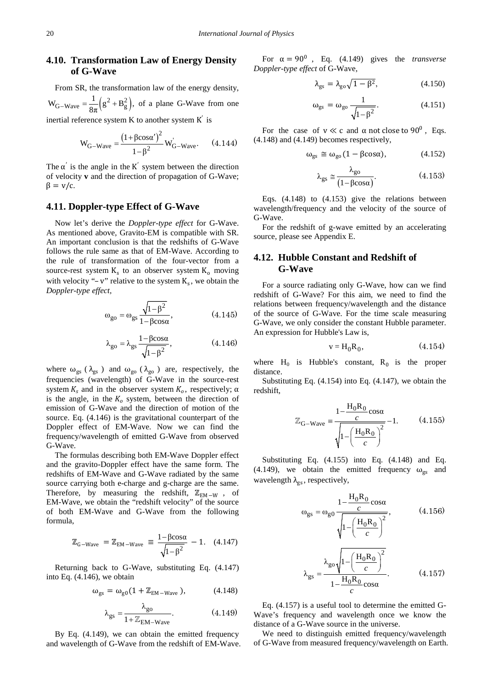# **4.10. Transformation Law of Energy Density of G-Wave**

From SR, the transformation law of the energy density,  $W_{G-Wave} = \frac{1}{8\pi} (g^2 + B_g^2)$ , of a plane G-Wave from one inertial reference system K to another system  $K'$  is

$$
W_{G-Wave} = \frac{(1 + \beta \cos \alpha')^{2}}{1 - \beta^{2}} W_{G-Wave}.
$$
 (4.144)

The  $\alpha'$  is the angle in the K<sup>'</sup> system between the direction of velocity **v** and the direction of propagation of G-Wave;  $\beta = v/c$ .

### **4.11. Doppler-type Effect of G-Wave**

Now let's derive the *Doppler-type effect* for G-Wave. As mentioned above, Gravito-EM is compatible with SR. An important conclusion is that the redshifts of G-Wave follows the rule same as that of EM-Wave. According to the rule of transformation of the four-vector from a source-rest system  $K_s$  to an observer system  $K_0$  moving with velocity "– v" relative to the system  $K_s$ , we obtain the *Doppler-type effect,*

$$
\omega_{\text{go}} = \omega_{\text{gs}} \frac{\sqrt{1 - \beta^2}}{1 - \beta \cos \alpha},\tag{4.145}
$$

$$
\lambda_{\text{go}} = \lambda_{\text{gs}} \frac{1 - \beta \cos \alpha}{\sqrt{1 - \beta^2}},\tag{4.146}
$$

where  $\omega_{gs}$  ( $\lambda_{gs}$ ) and  $\omega_{go}$  ( $\lambda_{go}$ ) are, respectively, the frequencies (wavelength) of G-Wave in the source-rest system  $K_s$  and in the observer system  $K_o$ , respectively;  $\alpha$ is the angle, in the  $K_0$  system, between the direction of emission of G-Wave and the direction of motion of the source. Eq. (4.146) is the gravitational counterpart of the Doppler effect of EM-Wave. Now we can find the frequency/wavelength of emitted G-Wave from observed G-Wave.

The formulas describing both EM-Wave Doppler effect and the gravito-Doppler effect have the same form. The redshifts of EM-Wave and G-Wave radiated by the same source carrying both e-charge and g-charge are the same. Therefore, by measuring the redshift,  $\mathbb{Z}_{EM-W}$ , of EM-Wave, we obtain the "redshift velocity" of the source of both EM-Wave and G-Wave from the following formula,

$$
\mathbb{Z}_{G-Wave} = \mathbb{Z}_{EM-Wave} \equiv \frac{1 - \beta \cos \alpha}{\sqrt{1 - \beta^2}} - 1. \quad (4.147)
$$

Returning back to G-Wave, substituting Eq. (4.147) into Eq. (4.146), we obtain

$$
\omega_{\rm gs} = \omega_{\rm g0} (1 + \mathbb{Z}_{\rm EM-Wave}), \qquad (4.148)
$$

$$
\lambda_{\rm gs} = \frac{\lambda_{\rm go}}{1 + \mathbb{Z}_{\rm EM-Wave}}.\tag{4.149}
$$

By Eq. (4.149), we can obtain the emitted frequency and wavelength of G-Wave from the redshift of EM-Wave.

For  $\alpha = 90^0$ , Eq. (4.149) gives the *transverse Doppler-type effect* of G-Wave,

$$
\lambda_{gs} = \lambda_{go} \sqrt{1 - \beta^2},\tag{4.150}
$$

$$
\omega_{\rm gs} = \omega_{\rm go} \frac{1}{\sqrt{1 - \beta^2}}.\tag{4.151}
$$

For the case of  $v \ll c$  and  $\alpha$  not close to 90<sup>0</sup>, Eqs. (4.148) and (4.149) becomes respectively,

$$
\omega_{\rm gs} \cong \omega_{\rm go} \left( 1 - \beta \cos \alpha \right), \tag{4.152}
$$

$$
\lambda_{gs} \approx \frac{\lambda_{go}}{(1 - \beta \cos \alpha)}.
$$
 (4.153)

Eqs. (4.148) to (4.153) give the relations between wavelength/frequency and the velocity of the source of G-Wave.

For the redshift of g-wave emitted by an accelerating source, please see Appendix E.

### **4.12. Hubble Constant and Redshift of G-Wave**

For a source radiating only G-Wave, how can we find redshift of G-Wave? For this aim, we need to find the relations between frequency/wavelength and the distance of the source of G-Wave. For the time scale measuring G-Wave, we only consider the constant Hubble parameter. An expression for Hubble's Law is,

$$
\mathbf{v} = \mathbf{H}_0 \mathbf{R}_0, \tag{4.154}
$$

where  $H_0$  is Hubble's constant,  $R_0$  is the proper distance.

Substituting Eq. (4.154) into Eq. (4.147), we obtain the redshift,

$$
\mathbb{Z}_{G-Wave} = \frac{1 - \frac{H_0 R_0}{c} \cos \alpha}{\sqrt{1 - \left(\frac{H_0 R_0}{c}\right)^2}} - 1.
$$
 (4.155)

Substituting Eq. (4.155) into Eq. (4.148) and Eq. (4.149), we obtain the emitted frequency  $\omega_{\sigma s}$  and wavelength  $\lambda_{gs}$ , respectively,

$$
\omega_{gs} = \omega_{g0} \frac{1 - \frac{H_0 R_0}{c} \cos \alpha}{\sqrt{1 - \left(\frac{H_0 R_0}{c}\right)^2}},
$$
(4.156)  

$$
\lambda_{gs} = \frac{\lambda_{go} \sqrt{1 - \left(\frac{H_0 R_0}{c}\right)^2}}{1 - \frac{H_0 R_0}{c} \cos \alpha}.
$$
(4.157)

Eq. (4.157) is a useful tool to determine the emitted G-Wave's frequency and wavelength once we know the distance of a G-Wave source in the universe.

We need to distinguish emitted frequency/wavelength of G-Wave from measured frequency/wavelength on Earth.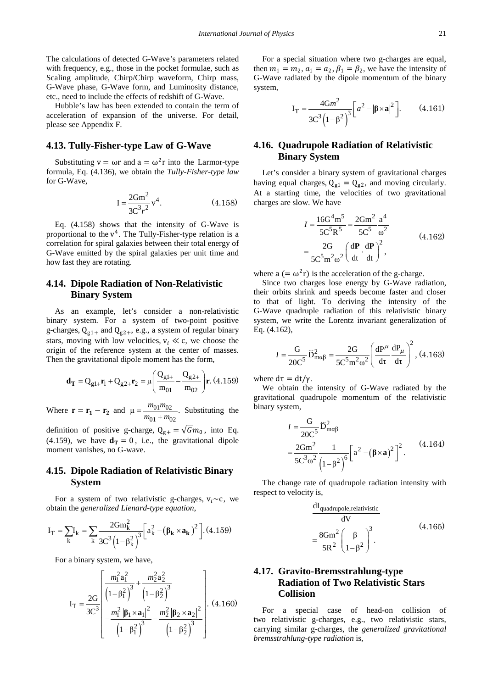The calculations of detected G-Wave's parameters related with frequency, e.g., those in the pocket formulae, such as Scaling amplitude, Chirp/Chirp waveform, Chirp mass, G-Wave phase, G-Wave form, and Luminosity distance, etc., need to include the effects of redshift of G-Wave.

Hubble's law has been extended to contain the term of acceleration of expansion of the universe. For detail, please see Appendix F.

### **4.13. Tully-Fisher-type Law of G-Wave**

Substituting  $v = \omega r$  and  $a = \omega^2 r$  into the Larmor-type formula, Eq. (4.136), we obtain the *Tully-Fisher-type law* for G-Wave,

$$
I = \frac{2Gm^2}{3C^3r^2}v^4.
$$
 (4.158)

Eq. (4.158) shows that the intensity of G-Wave is proportional to the  $v<sup>4</sup>$ . The Tully-Fisher-type relation is a correlation for spiral galaxies between their total energy of G-Wave emitted by the spiral galaxies per unit time and how fast they are rotating.

# **4.14. Dipole Radiation of Non-Relativistic Binary System**

As an example, let's consider a non-relativistic binary system. For a system of two-point positive g-charges,  $Q_{g1+}$  and  $Q_{g2+}$ , e.g., a system of regular binary stars, moving with low velocities,  $v_i \ll c$ , we choose the origin of the reference system at the center of masses. Then the gravitational dipole moment has the form,

$$
\mathbf{d}_{\mathbf{T}} = Q_{g1+} \mathbf{r}_1 + Q_{g2+} \mathbf{r}_2 = \mu \left( \frac{Q_{g1+}}{m_{01}} - \frac{Q_{g2+}}{m_{02}} \right) \mathbf{r}.
$$
 (4.159)

Where  $\mathbf{r} = \mathbf{r_1} - \mathbf{r_2}$  and  $\mu = \frac{m_{01}m_{02}}{m_{01} + m_{02}}$  $\mu = \frac{m_{01}m_{02}}{m_{01} + m_{02}}$ . Substituting the

definition of positive g-charge,  $Q_{g+} = \sqrt{G}m_0$ , into Eq. (4.159), we have  $\mathbf{d}_T = 0$ , i.e., the gravitational dipole moment vanishes, no G-wave.

# **4.15. Dipole Radiation of Relativistic Binary System**

For a system of two relativistic g-charges,  $v_i \sim c$ , we obtain the *generalized Lienard-type equation*,

$$
I_T = \sum_k I_k = \sum_k \frac{2Gm_k^2}{3C^3 \left(1 - \beta_k^2\right)^3} \left[a_k^2 - \left(\beta_k \times a_k\right)^2\right]. \tag{4.159}
$$

For a binary system, we have,

$$
\mathbf{I}_{\mathrm{T}} = \frac{2\mathrm{G}}{3\mathrm{C}^3} \left[ \frac{m_1^2 \mathrm{a}_1^2}{\left(1 - \beta_1^2\right)^3} + \frac{m_2^2 \mathrm{a}_2^2}{\left(1 - \beta_2^2\right)^3} - \frac{m_1^2 |\mathbf{p}_1 \times \mathbf{a}_1|^2}{\left(1 - \beta_1^2\right)^3} - \frac{m_2^2 |\mathbf{p}_2 \times \mathbf{a}_2|^2}{\left(1 - \beta_2^2\right)^3} \right]. \tag{4.160}
$$

For a special situation where two g-charges are equal, then  $m_1 = m_2$ ,  $a_1 = a_2$ ,  $\beta_1 = \beta_2$ , we have the intensity of G-Wave radiated by the dipole momentum of the binary system,

$$
I_{T} = \frac{4Gm^{2}}{3C^{3}(1-\beta^{2})^{3}} \left[a^{2} - |\boldsymbol{\beta} \times \mathbf{a}|^{2}\right].
$$
 (4.161)

# **4.16. Quadrupole Radiation of Relativistic Binary System**

Let's consider a binary system of gravitational charges having equal charges,  $Q_{g1} = Q_{g2}$ , and moving circularly. At a starting time, the velocities of two gravitational charges are slow. We have

$$
I = \frac{16G^{4} \text{m}^{5}}{5C^{5} \text{R}^{5}} = \frac{2G \text{m}^{2}}{5C^{5}} \frac{\text{a}^{4}}{\omega^{2}}
$$
  
= 
$$
\frac{2G}{5C^{5} \text{m}^{2} \omega^{2}} \left(\frac{\text{d}P}{\text{d}t} \cdot \frac{\text{d}P}{\text{d}t}\right)^{2},
$$
 (4.162)

where a  $(=\omega^2 r)$  is the acceleration of the g-charge.

Since two charges lose energy by G-Wave radiation, their orbits shrink and speeds become faster and closer to that of light. To deriving the intensity of the G-Wave quadruple radiation of this relativistic binary system, we write the Lorentz invariant generalization of Eq. (4.162),

$$
I = \frac{G}{20C^5} \ddot{D}_{m\alpha\beta}^2 = \frac{2G}{5C^5 m^2 \omega^2} \left( \frac{dP^{\mu}}{d\tau} \frac{dP_{\mu}}{d\tau} \right)^2, (4.163)
$$

where  $d\tau = dt/v$ .

We obtain the intensity of G-Wave radiated by the gravitational quadrupole momentum of the relativistic binary system,

$$
I = \frac{G}{20C^5} \ddot{D}_{m\alpha\beta}^2
$$
  
=  $\frac{2Gm^2}{5C^3\omega^2} \frac{1}{(1-\beta^2)^6} \left[a^2 - (\beta \times a)^2\right]^2$ . (4.164)

The change rate of quadrupole radiation intensity with respect to velocity is,

$$
\frac{dI_{\text{quadrupole},\text{relativistic}}}{dV} = \frac{8\text{Gm}^2}{5\text{R}^2} \left(\frac{\beta}{1-\beta^2}\right)^3.
$$
 (4.165)

# **4.17. Gravito-Bremsstrahlung-type Radiation of Two Relativistic Stars Collision**

For a special case of head-on collision of two relativistic g-charges, e.g., two relativistic stars, carrying similar g-charges, the *generalized gravitational bremsstrahlung-type radiation* is,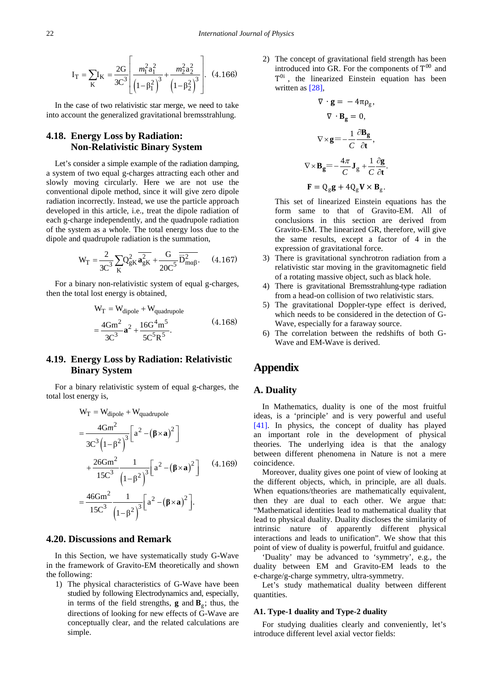$$
I_{T} = \sum_{K} I_{K} = \frac{2G}{3C^{3}} \left[ \frac{m_{1}^{2} a_{1}^{2}}{\left(1 - \beta_{1}^{2}\right)^{3}} + \frac{m_{2}^{2} a_{2}^{2}}{\left(1 - \beta_{2}^{2}\right)^{3}} \right].
$$
 (4.166)

In the case of two relativistic star merge, we need to take into account the generalized gravitational bremsstrahlung.

# **4.18. Energy Loss by Radiation: Non-Relativistic Binary System**

Let's consider a simple example of the radiation damping, a system of two equal g-charges attracting each other and slowly moving circularly. Here we are not use the conventional dipole method, since it will give zero dipole radiation incorrectly. Instead, we use the particle approach developed in this article, i.e., treat the dipole radiation of each g-charge independently, and the quadrupole radiation of the system as a whole. The total energy loss due to the dipole and quadrupole radiation is the summation,

$$
W_T = \frac{2}{3C^3} \sum_{K} Q_{gK}^2 \overline{a_{gK}^2} + \frac{G}{20C^5} \overline{D_{m\alpha\beta}^2}.
$$
 (4.167)

For a binary non-relativistic system of equal g-charges, then the total lost energy is obtained,

$$
W_T = W_{dipole} + W_{quadrupole}
$$
  
=  $\frac{4Gm^2}{3C^3}a^2 + \frac{16G^4m^5}{5C^5R^5}$ . (4.168)

# **4.19. Energy Loss by Radiation: Relativistic Binary System**

For a binary relativistic system of equal g-charges, the total lost energy is,

$$
W_T = W_{dipole} + W_{quadrupole}
$$
  
= 
$$
\frac{4Gm^2}{3C^3(1-\beta^2)^3} \Big[ a^2 - (\beta \times a)^2 \Big]
$$
  
+ 
$$
\frac{26Gm^2}{15C^3} \frac{1}{(1-\beta^2)^3} \Big[ a^2 - (\beta \times a)^2 \Big]
$$
 (4.169)  
= 
$$
\frac{46Gm^2}{15C^3} \frac{1}{(1-\beta^2)^3} \Big[ a^2 - (\beta \times a)^2 \Big].
$$

### **4.20. Discussions and Remark**

In this Section, we have systematically study G-Wave in the framework of Gravito-EM theoretically and shown the following:

1) The physical characteristics of G-Wave have been studied by following Electrodynamics and, especially, in terms of the field strengths, **g** and  $\mathbf{B}_{\sigma}$ ; thus, the directions of looking for new effects of G-Wave are conceptually clear, and the related calculations are simple.

2) The concept of gravitational field strength has been introduced into GR. For the components of  $T^{00}$  and  $T^{0i}$ , the linearized Einstein equation has been written as [\[28\],](#page-26-13)

$$
\nabla \cdot \mathbf{g} = -4\pi \rho_{g},
$$
  

$$
\nabla \cdot \mathbf{B}_{g} = 0,
$$
  

$$
\nabla \times \mathbf{g} = -\frac{1}{C} \frac{\partial \mathbf{B}_{g}}{\partial t},
$$
  

$$
\nabla \times \mathbf{B}_{g} = -\frac{4\pi}{C} \mathbf{J}_{g} + \frac{1}{C} \frac{\partial \mathbf{g}}{\partial t}.
$$
  

$$
\mathbf{F} = Q_{g} \mathbf{g} + 4Q_{g} \mathbf{V} \times \mathbf{B}_{g}.
$$

This set of linearized Einstein equations has the form same to that of Gravito-EM. All of conclusions in this section are derived from Gravito-EM. The linearized GR, therefore, will give the same results, except a factor of 4 in the expression of gravitational force.

- 3) There is gravitational synchrotron radiation from a relativistic star moving in the gravitomagnetic field of a rotating massive object, such as black hole.
- 4) There is gravitational Bremsstrahlung-type radiation from a head-on collision of two relativistic stars.
- 5) The gravitational Doppler-type effect is derived, which needs to be considered in the detection of G-Wave, especially for a faraway source.
- 6) The correlation between the redshifts of both G-Wave and EM-Wave is derived.

# **Appendix**

# **A. Duality**

In Mathematics, duality is one of the most fruitful ideas, is a 'principle' and is very powerful and useful [\[41\].](#page-26-20) In physics, the concept of duality has played an important role in the development of physical theories. The underlying idea is that the analogy between different phenomena in Nature is not a mere coincidence.

Moreover, duality gives one point of view of looking at the different objects, which, in principle, are all duals. When equations/theories are mathematically equivalent, then they are dual to each other. We argue that: "Mathematical identities lead to mathematical duality that lead to physical duality. Duality discloses the similarity of intrinsic nature of apparently different physical interactions and leads to unification". We show that this point of view of duality is powerful, fruitful and guidance.

'Duality' may be advanced to 'symmetry', e.g., the duality between EM and Gravito-EM leads to the e-charge/g-charge symmetry, ultra-symmetry.

Let's study mathematical duality between different quantities.

### **A1. Type-1 duality and Type-2 duality**

For studying dualities clearly and conveniently, let's introduce different level axial vector fields: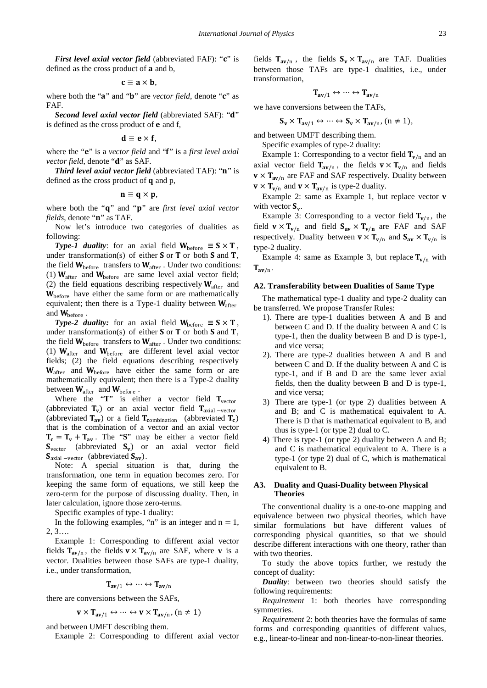*First level axial vector field* (abbreviated FAF): " $c$ " is defined as the cross product of **a** and **b**,

$$
\mathbf{c}\equiv \mathbf{a}\times \mathbf{b},
$$

where both the "a" and "b" are *vector field*, denote "c" as FAF.

*Second level axial vector field* (abbreviated SAF): "d" is defined as the cross product of  $e$  and  $f$ ,

$$
\mathbf{d} \equiv \mathbf{e} \times \mathbf{f},
$$

where the "**e**" is a *vector field* and "f" is a *first level axial vector field*, denote "d" as SAF.

**Third level axial vector field** (abbreviated TAF): "n" is defined as the cross product of  $q$  and  $p$ ,

$$
\mathbf{n}\equiv\mathbf{q}\times\mathbf{p},
$$

where both the "**q**" and "**p**" are *first level axial vector fields*, denote "**n**" as TAF.

Now let's introduce two categories of dualities as following:

*Type-1 duality*: for an axial field  $W_{before} \equiv S \times T$ , under transformation(s) of either  $S$  or  $T$  or both  $S$  and  $T$ , the field  $W_{before}$  transfers to  $W_{after}$ . Under two conditions: (1)  $W_{\text{after}}$  and  $W_{\text{before}}$  are same level axial vector field; (2) the field equations describing respectively  $W_{after}$  and  $W<sub>before</sub>$  have either the same form or are mathematically equivalent; then there is a Type-1 duality between  $W_{after}$ and  $W_{before}$ .

*Type-2 duality:* for an axial field  $W_{before} \equiv S \times T$ , under transformation(s) of either  $S$  or  $T$  or both  $S$  and  $T$ , the field  $W_{before}$  transfers to  $W_{after}$ . Under two conditions: (1)  $W_{after}$  and  $W_{before}$  are different level axial vector fields; (2) the field equations describing respectively  $W_{\text{after}}$  and  $W_{\text{before}}$  have either the same form or are mathematically equivalent; then there is a Type-2 duality between  $W_{after}$  and  $W_{before}$ .

Where the  $T''$  is either a vector field  $T_{vector}$ (abbreviated  $T_v$ ) or an axial vector field  $T_{axial -vector}$ (abbreviated  $T_{av}$ ) or a field  $T_{\text{combination}}$  (abbreviated  $T_c$ ) that is the combination of a vector and an axial vector  $T_c = T_v + T_{av}$ . The "S" may be either a vector field  $S_{\text{vector}}$  (abbreviated  $S_{\text{v}}$ ) or an axial vector field  $S_{\text{axial}-\text{vector}}$  (abbreviated  $S_{\text{av}}$ ).

Note: A special situation is that, during the transformation, one term in equation becomes zero. For keeping the same form of equations, we still keep the zero-term for the purpose of discussing duality. Then, in later calculation, ignore those zero-terms.

Specific examples of type-1 duality:

In the following examples, "n" is an integer and  $n = 1$ , 2, 3….

Example 1: Corresponding to different axial vector fields  $T_{av/n}$ , the fields  $v \times T_{av/n}$  are SAF, where v is a vector. Dualities between those SAFs are type-1 duality, i.e., under transformation,

$$
T_{av/1} \leftrightarrow \cdots \leftrightarrow T_{av/n}
$$

there are conversions between the SAFs,

$$
\mathbf{v} \times \mathbf{T}_{\mathbf{a}\mathbf{v}/1} \leftrightarrow \cdots \leftrightarrow \mathbf{v} \times \mathbf{T}_{\mathbf{a}\mathbf{v}/n}, (n \neq 1)
$$

and between UMFT describing them.

Example 2: Corresponding to different axial vector

fields  $T_{av/n}$ , the fields  $S_v \times T_{av/n}$  are TAF. Dualities between those TAFs are type-1 dualities, i.e., under transformation,

$$
T_{av/1} \leftrightarrow \cdots \leftrightarrow T_{av/n}
$$

we have conversions between the TAFs,

$$
\mathbf{S}_{\mathbf{v}} \times \mathbf{T}_{\mathbf{a}\mathbf{v}/1} \leftrightarrow \cdots \leftrightarrow \mathbf{S}_{\mathbf{v}} \times \mathbf{T}_{\mathbf{a}\mathbf{v}/n}, (n \neq 1),
$$

and between UMFT describing them.

Specific examples of type-2 duality:

Example 1: Corresponding to a vector field  $T_{v/n}$  and an axial vector field  $T_{av/n}$ , the fields  $v \times T_{v/n}$  and fields  $\mathbf{v} \times \mathbf{T}_{\mathbf{av}/n}$  are FAF and SAF respectively. Duality between  $\mathbf{v} \times \mathbf{T}_{\mathbf{v}/\mathbf{n}}$  and  $\mathbf{v} \times \mathbf{T}_{\mathbf{av}/\mathbf{n}}$  is type-2 duality.

Example 2: same as Example 1, but replace vector **v** with vector  $S_v$ .

Example 3: Corresponding to a vector field  $T_{v/n}$ , the field  $v \times T_{v/n}$  and field  $S_{av} \times T_{v/n}$  are FAF and SAF respectively. Duality between  $v \times T_{v/n}$  and  $S_{av} \times T_{v/n}$  is type-2 duality.

Example 4: same as Example 3, but replace  $T_{v/n}$  with  $T_{\rm av/n}$ .

### **A2. Transferability between Dualities of Same Type**

The mathematical type-1 duality and type-2 duality can be transferred. We propose Transfer Rules:

- 1). There are type-1 dualities between A and B and between C and D. If the duality between A and C is type-1, then the duality between B and D is type-1, and vice versa;
- 2). There are type-2 dualities between A and B and between C and D. If the duality between A and C is type-1, and if B and D are the same lever axial fields, then the duality between B and D is type-1, and vice versa;
- 3) There are type-1 (or type 2) dualities between A and B; and C is mathematical equivalent to A. There is D that is mathematical equivalent to B, and thus is type-1 (or type 2) dual to C.
- 4) There is type-1 (or type 2) duality between A and B; and C is mathematical equivalent to A. There is a type-1 (or type 2) dual of C, which is mathematical equivalent to B.

### **A3. Duality and Quasi-Duality between Physical Theories**

The conventional duality is a one-to-one mapping and equivalence between two physical theories, which have similar formulations but have different values of corresponding physical quantities, so that we should describe different interactions with one theory, rather than with two theories.

To study the above topics further, we restudy the concept of duality:

*Duality*: between two theories should satisfy the following requirements:

*Requirement* 1: both theories have corresponding symmetries.

*Requirement* 2: both theories have the formulas of same forms and corresponding quantities of different values, e.g., linear-to-linear and non-linear-to-non-linear theories.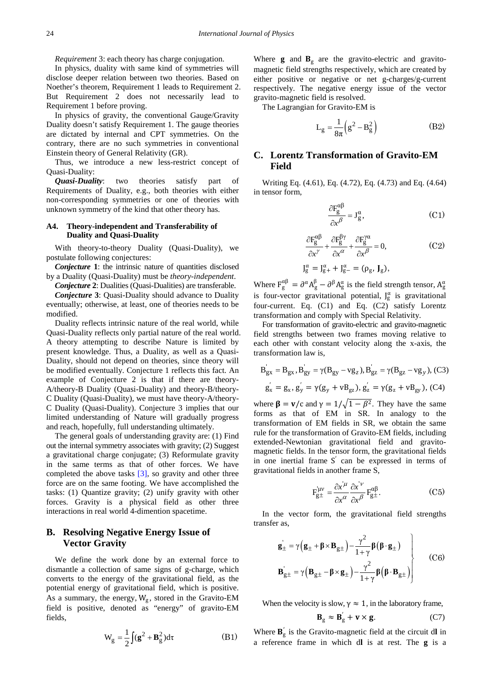*Requirement* 3: each theory has charge conjugation.

In physics, duality with same kind of symmetries will disclose deeper relation between two theories. Based on Noether's theorem, Requirement 1 leads to Requirement 2. But Requirement 2 does not necessarily lead to Requirement 1 before proving.

In physics of gravity, the conventional Gauge/Gravity Duality doesn't satisfy Requirement 1. The gauge theories are dictated by internal and CPT symmetries. On the contrary, there are no such symmetries in conventional Einstein theory of General Relativity (GR).

Thus, we introduce a new less-restrict concept of Quasi-Duality:

*Quasi-Duality*: two theories satisfy part of Requirements of Duality, e.g., both theories with either non-corresponding symmetries or one of theories with unknown symmetry of the kind that other theory has.

### **A4. Theory-independent and Transferability of Duality and Quasi-Duality**

With theory-to-theory Duality (Quasi-Duality), we postulate following conjectures:

*Conjecture* **1**: the intrinsic nature of quantities disclosed by a Duality (Quasi-Duality) must be *theory-independent*.

*Conjecture* **2**: Dualities (Quasi-Dualities) are transferable.

*Conjecture* **3**: Quasi-Duality should advance to Duality eventually; otherwise, at least, one of theories needs to be modified.

Duality reflects intrinsic nature of the real world, while Quasi-Duality reflects only partial nature of the real world. A theory attempting to describe Nature is limited by present knowledge. Thus, a Duality, as well as a Quasi-Duality, should not depend on theories, since theory will be modified eventually. Conjecture 1 reflects this fact. An example of Conjecture 2 is that if there are theory-A/theory-B Duality (Quasi-Duality) and theory-B/theory-C Duality (Quasi-Duality), we must have theory-A/theory-C Duality (Quasi-Duality). Conjecture 3 implies that our limited understanding of Nature will gradually progress and reach, hopefully, full understanding ultimately.

The general goals of understanding gravity are: (1) Find out the internal symmetry associates with gravity; (2) Suggest a gravitational charge conjugate; (3) Reformulate gravity in the same terms as that of other forces. We have completed the above tasks [\[3\],](#page-26-2) so gravity and other three force are on the same footing. We have accomplished the tasks: (1) Quantize gravity; (2) unify gravity with other forces. Gravity is a physical field as other three interactions in real world 4-dimention spacetime.

# **B. Resolving Negative Energy Issue of Vector Gravity**

We define the work done by an external force to dismantle a collection of same signs of g-charge, which converts to the energy of the gravitational field, as the potential energy of gravitational field, which is positive. As a summary, the energy,  $W_g$ , stored in the Gravito-EM field is positive, denoted as "energy" of gravito-EM fields,

$$
W_g = \frac{1}{2} \int (g^2 + B_g^2) d\tau
$$
 (B1)

Where  $g$  and  $B_g$  are the gravito-electric and gravitomagnetic field strengths respectively, which are created by either positive or negative or net g-charges/g-current respectively. The negative energy issue of the vector gravito-magnetic field is resolved.

The Lagrangian for Gravito-EM is

$$
L_g = \frac{1}{8\pi} \left( g^2 - B_g^2 \right) \tag{B2}
$$

# **C. Lorentz Transformation of Gravito-EM Field**

Writing Eq. (4.61), Eq. (4.72), Eq. (4.73) and Eq. (4.64) in tensor form,

$$
\frac{\partial F_g^{\alpha\beta}}{\partial x^\beta} = J_g^\alpha, \tag{C1}
$$

$$
\frac{\partial F_g^{\alpha\beta}}{\partial x^\gamma} + \frac{\partial F_g^{\beta\gamma}}{\partial x^\alpha} + \frac{\partial F_g^{\gamma\alpha}}{\partial x^\beta} = 0,
$$
 (C2)

$$
J_g^{\alpha} = J_{g+}^{\alpha} + J_{g-}^{\alpha} = (\rho_g, J_g),
$$

Where  $F_g^{\alpha\beta} = \partial^{\alpha} A_g^{\beta} - \partial^{\beta} A_g^{\alpha}$  is the field strength tensor,  $A_g^{\alpha}$ is four-vector gravitational potential,  $J_g^{\alpha}$  is gravitational four-current. Eq. (C1) and Eq. (C2) satisfy Lorentz transformation and comply with Special Relativity.

For transformation of gravito-electric and gravito-magnetic field strengths between two frames moving relative to each other with constant velocity along the x-axis, the transformation law is,

$$
B'_{gx} = B_{gx}, B'_{gy} = \gamma(B_{gy} - v g_z), B'_{gz} = \gamma(B_{gz} - v g_y),
$$
 (C3)  

$$
g'_x = g_x, g'_y = \gamma(g_y + v g_{gz}), g'_z = \gamma(g_z + v g_{gy}),
$$
 (C4)

where  $\beta = v/c$  and  $\gamma = 1/\sqrt{1 - \beta^2}$ . They have the same forms as that of EM in SR. In analogy to the transformation of EM fields in SR, we obtain the same rule for the transformation of Gravito-EM fields, including extended-Newtonian gravitational field and gravitomagnetic fields. In the tensor form, the gravitational fields in one inertial frame S′ can be expressed in terms of gravitational fields in another frame S,

$$
F_{g\pm}^{i\mu\nu} = \frac{\partial x^{'\mu}}{\partial x^{\alpha}} \frac{\partial x^{'\nu}}{\partial x^{\beta}} F_{g\pm}^{\alpha\beta}.
$$
 (C5)

In the vector form, the gravitational field strengths transfer as,

$$
\mathbf{g}_{\pm}^{'} = \gamma \Big( \mathbf{g}_{\pm} + \boldsymbol{\beta} \times \mathbf{B}_{g\pm} \Big) - \frac{\gamma^2}{1 + \gamma} \boldsymbol{\beta} \big( \boldsymbol{\beta} \cdot \mathbf{g}_{\pm} \big) \n\mathbf{B}_{g\pm}^{'} = \gamma \Big( \mathbf{B}_{g\pm} - \boldsymbol{\beta} \times \mathbf{g}_{\pm} \Big) - \frac{\gamma^2}{1 + \gamma} \boldsymbol{\beta} \Big( \boldsymbol{\beta} \cdot \mathbf{B}_{g\pm} \Big)
$$
\n(C6)

When the velocity is slow,  $\gamma \approx 1$ , in the laboratory frame,

$$
\mathbf{B}_{\rm g} \approx \mathbf{B}_{\rm g}^{\prime} + \mathbf{v} \times \mathbf{g}.
$$
 (C7)

Where  $\mathbf{B}_{g}$  is the Gravito-magnetic field at the circuit dl in a reference frame in which d**l** is at rest. The **g** is a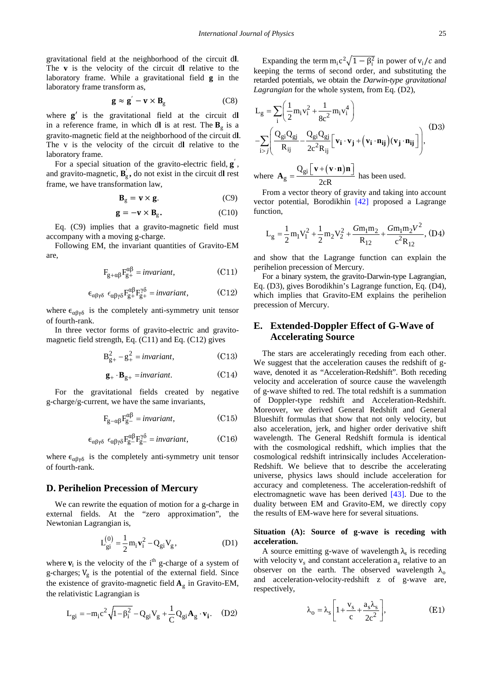gravitational field at the neighborhood of the circuit d**l**. The **v** is the velocity of the circuit d**l** relative to the laboratory frame. While a gravitational field **g** in the laboratory frame transform as,

$$
\mathbf{g} \approx \mathbf{g}' - \mathbf{v} \times \mathbf{B}_{\mathbf{g}} \tag{C8}
$$

where  $g'$  is the gravitational field at the circuit dl in a reference frame, in which d**l** is at rest. The  $B_{\sigma}$  is a gravito-magnetic field at the neighborhood of the circuit d**l**. The v is the velocity of the circuit d**l** relative to the laboratory frame.

For a special situation of the gravito-electric field,  $\bf{g}$ , and gravito-magnetic,  $\mathbf{B}_{g}$ , do not exist in the circuit dl rest frame, we have transformation law,

$$
\mathbf{B}_{g} = \mathbf{v} \times \mathbf{g}.
$$
 (C9)

$$
\mathbf{g} = -\mathbf{v} \times \mathbf{B}_{g}.\tag{C10}
$$

Eq. (C9) implies that a gravito-magnetic field must accompany with a moving g-charge.

Following EM, the invariant quantities of Gravito-EM are,

$$
F_{g+\alpha\beta}F_{g+}^{\alpha\beta} = invariant,
$$
 (C11)

$$
\epsilon_{\alpha\beta\gamma\delta} \ \epsilon_{\alpha\beta\gamma\delta} F^{\alpha\beta}_{g+} F^{\gamma\delta}_{g+} = invariant, \tag{C12}
$$

where  $\epsilon_{\alpha\beta\gamma\delta}$  is the completely anti-symmetry unit tensor of fourth-rank.

In three vector forms of gravito-electric and gravitomagnetic field strength, Eq. (C11) and Eq. (C12) gives

$$
B_{g+}^2 - g_+^2 = invariant,
$$
 (C13)

$$
\mathbf{g}_{+} \cdot \mathbf{B}_{g+} = invariant. \tag{C14}
$$

For the gravitational fields created by negative g-charge/g-current, we have the same invariants,

$$
F_{g-\alpha\beta}F_{g-}^{\alpha\beta} = invariant,
$$
 (C15)

$$
\epsilon_{\alpha\beta\gamma\delta} \ \epsilon_{\alpha\beta\gamma\delta} F^{\alpha\beta}_{g} F^{\gamma\delta}_{g} = invariant, \tag{C16}
$$

where  $\epsilon_{\alpha\beta\gamma\delta}$  is the completely anti-symmetry unit tensor of fourth-rank.

### **D. Perihelion Precession of Mercury**

We can rewrite the equation of motion for a g-charge in external fields. At the "zero approximation", the Newtonian Lagrangian is,

$$
L_{gi}^{(0)} = \frac{1}{2} m_i v_i^2 - Q_{gi} V_g, \qquad (D1)
$$

where  $v_i$  is the velocity of the i<sup>th</sup> g-charge of a system of g-charges;  $V_g$  is the potential of the external field. Since the existence of gravito-magnetic field  $A_g$  in Gravito-EM, the relativistic Lagrangian is

$$
L_{gi} = -m_i c^2 \sqrt{1 - \beta_i^2} - Q_{gi} V_g + \frac{1}{C} Q_{gi} A_g \cdot v_i.
$$
 (D2)

Expanding the term  $m_i c^2 \sqrt{1 - \beta_i^2}$  in power of  $v_i/c$  and keeping the terms of second order, and substituting the retarded potentials, we obtain the *Darwin-type gravitational Lagrangian* for the whole system, from Eq. (D2),

$$
L_{g} = \sum_{i} \left( \frac{1}{2} m_{i} v_{i}^{2} + \frac{1}{8c^{2}} m_{i} v_{i}^{4} \right)
$$
  
-
$$
\sum_{i > j} \left( \frac{Q_{gi} Q_{gj}}{R_{ij}} - \frac{Q_{gi} Q_{gi}}{2c^{2} R_{ij}} \left[ v_{i} \cdot v_{j} + (v_{i} \cdot n_{ij}) (v_{j} \cdot n_{ij}) \right],
$$
  
where 
$$
\mathbf{A}_{g} = \frac{Q_{gi} \left[ v + (v \cdot n) n \right]}{2c^{D}} \text{ has been used.}
$$

2cR From a vector theory of gravity and taking into account vector potential, Borodikhin [\[42\]](#page-26-21) proposed a Lagrange function,

$$
L_g = \frac{1}{2} m_1 V_1^2 + \frac{1}{2} m_2 V_2^2 + \frac{Gm_1 m_2}{R_{12}} + \frac{Gm_1 m_2 V^2}{c^2 R_{12}},
$$
 (D4)

and show that the Lagrange function can explain the perihelion precession of Mercury.

For a binary system, the gravito-Darwin-type Lagrangian, Eq. (D3), gives Borodikhin's Lagrange function, Eq. (D4), which implies that Gravito-EM explains the perihelion precession of Mercury.

# **E. Extended-Doppler Effect of G-Wave of Accelerating Source**

The stars are acceleratingly receding from each other. We suggest that the acceleration causes the redshift of gwave, denoted it as "Acceleration-Redshift". Both receding velocity and acceleration of source cause the wavelength of g-wave shifted to red. The total redshift is a summation of Doppler-type redshift and Acceleration-Redshift. Moreover, we derived General Redshift and General Blueshift formulas that show that not only velocity, but also acceleration, jerk, and higher order derivative shift wavelength. The General Redshift formula is identical with the cosmological redshift, which implies that the cosmological redshift intrinsically includes Acceleration-Redshift. We believe that to describe the accelerating universe, physics laws should include acceleration for accuracy and completeness. The acceleration-redshift of electromagnetic wave has been derived [\[43\].](#page-26-22) Due to the duality between EM and Gravito-EM, we directly copy the results of EM-wave here for several situations.

### **Situation (A): Source of g-wave is receding with acceleration.**

A source emitting g-wave of wavelength  $\lambda_s$  is receding with velocity  $v_s$  and constant acceleration  $a_s$  relative to an observer on the earth. The observed wavelength  $\lambda_0$ and acceleration-velocity-redshift z of g-wave are, respectively,

$$
\lambda_{o} = \lambda_{s} \left[ 1 + \frac{v_{s}}{c} + \frac{a_{s} \lambda_{s}}{2c^{2}} \right],
$$
 (E1)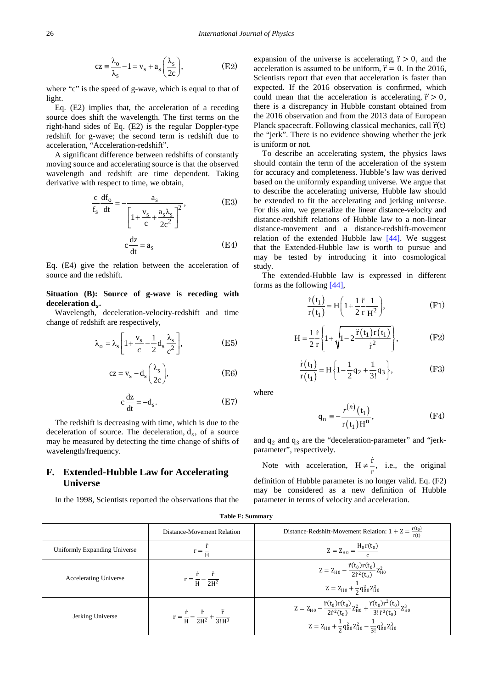$$
cz = \frac{\lambda_o}{\lambda_s} - 1 = v_s + a_s \left(\frac{\lambda_s}{2c}\right),
$$
 (E2)

where "c" is the speed of g-wave, which is equal to that of light.

Eq. (E2) implies that, the acceleration of a receding source does shift the wavelength. The first terms on the right-hand sides of Eq. (E2) is the regular Doppler-type redshift for g-wave; the second term is redshift due to acceleration, "Acceleration-redshift".

A significant difference between redshifts of constantly moving source and accelerating source is that the observed wavelength and redshift are time dependent. Taking derivative with respect to time, we obtain,

$$
\frac{c}{f_s} \frac{df_o}{dt} = -\frac{a_s}{\left[1 + \frac{v_s}{c} + \frac{a_s \lambda_s}{2c^2}\right]^2},
$$
(E3)

$$
c\frac{dz}{dt} = a_s \tag{E4}
$$

Eq. (E4) give the relation between the acceleration of source and the redshift.

**Situation (B): Source of g-wave is receding with** deceleration  $d_s$ .

Wavelength, deceleration-velocity-redshift and time change of redshift are respectively,

$$
\lambda_{\rm o} = \lambda_{\rm s} \left[ 1 + \frac{\rm v_{\rm s}}{c} - \frac{1}{2} \, \rm d_{\rm s} \, \frac{\lambda_{\rm s}}{c^2} \right],\tag{E5}
$$

$$
cz = v_s - d_s \left(\frac{\lambda_s}{2c}\right),
$$
 (E6)

$$
c\frac{dz}{dt} = -d_s.
$$
 (E7)

The redshift is decreasing with time, which is due to the deceleration of source. The deceleration,  $d_s$ , of a source may be measured by detecting the time change of shifts of wavelength/frequency.

## **F. Extended-Hubble Law for Accelerating Universe**

In the 1998, Scientists reported the observations that the

expansion of the universe is accelerating,  $\ddot{r} > 0$ , and the acceleration is assumed to be uniform,  $\ddot{r} = 0$ . In the 2016, Scientists report that even that acceleration is faster than expected. If the 2016 observation is confirmed, which could mean that the acceleration is accelerating,  $\ddot{r} > 0$ , there is a discrepancy in Hubble constant obtained from the 2016 observation and from the 2013 data of European Planck spacecraft. Following classical mechanics, call  $\ddot{r}(t)$ the "jerk". There is no evidence showing whether the jerk is uniform or not.

To describe an accelerating system, the physics laws should contain the term of the acceleration of the system for accuracy and completeness. Hubble's law was derived based on the uniformly expanding universe. We argue that to describe the accelerating universe, Hubble law should be extended to fit the accelerating and jerking universe. For this aim, we generalize the linear distance-velocity and distance-redshift relations of Hubble law to a non-linear distance-movement and a distance-redshift-movement relation of the extended Hubble law [\[44\].](#page-26-23) We suggest that the Extended-Hubble law is worth to pursue and may be tested by introducing it into cosmological study.

The extended-Hubble law is expressed in different forms as the following [\[44\],](#page-26-23)

$$
\frac{\dot{\mathbf{r}}(t_1)}{\mathbf{r}(t_1)} = \mathbf{H} \left( 1 + \frac{1}{2} \frac{\ddot{\mathbf{r}}}{\mathbf{r}} \frac{1}{\mathbf{H}^2} \right),
$$
 (F1)

$$
H = \frac{1}{2} \frac{\dot{r}}{r} \left\{ 1 + \sqrt{1 - 2 \frac{\ddot{r}(t_1) r(t_1)}{\dot{r}^2}} \right\},
$$
 (F2)

$$
\frac{\dot{r}(t_1)}{r(t_1)} = H\left\{1 - \frac{1}{2}q_2 + \frac{1}{3!}q_3\right\},\tag{F3}
$$

where

$$
q_n = -\frac{r^{(n)}(t_1)}{r(t_1)H^n},
$$
 (F4)

and  $q_2$  and  $q_3$  are the "deceleration-parameter" and "jerkparameter", respectively.

Note with acceleration,  $H \neq \frac{\dot{r}}{r}$ , i.e., the original definition of Hubble parameter is no longer valid. Eq. (F2) may be considered as a new definition of Hubble parameter in terms of velocity and acceleration.

|                              | Distance-Movement Relation                                                 | Distance-Redshift-Movement Relation: $1 + Z = \frac{r(t_0)}{r}$                                                                                                                                                 |
|------------------------------|----------------------------------------------------------------------------|-----------------------------------------------------------------------------------------------------------------------------------------------------------------------------------------------------------------|
| Uniformly Expanding Universe | $r = \frac{1}{H}$                                                          | $Z = Z_{H0} = \frac{H_0 r(t_0)}{r}$                                                                                                                                                                             |
| <b>Accelerating Universe</b> | $r = \frac{r}{H} - \frac{r}{2H^2}$                                         | $Z = Z_{H0} - \frac{\ddot{r}(t_0)r(t_0)}{2\dot{r}^2(t_0)}Z_{H0}^2$<br>$Z = Z_{H0} + \frac{1}{2} q_{R0}^2 Z_{H0}^2$                                                                                              |
| Jerking Universe             | $r = \frac{\dot{r}}{H} - \frac{\ddot{r}}{2H^2} + \frac{\dddot{r}}{3! H^3}$ | $Z = Z_{H0} - \frac{\ddot{r}(t_0)r(t_0)}{2\dot{r}^2(t_0)}Z_{H0}^2 + \frac{\dddot{r}(t_0)r^2(t_0)}{3!\,\dot{r}^3(t_0)}Z_{H0}^3$<br>$Z = Z_{H0} + \frac{1}{2} q_{R0}^2 Z_{H0}^2 - \frac{1}{31} q_{R0}^3 Z_{H0}^3$ |